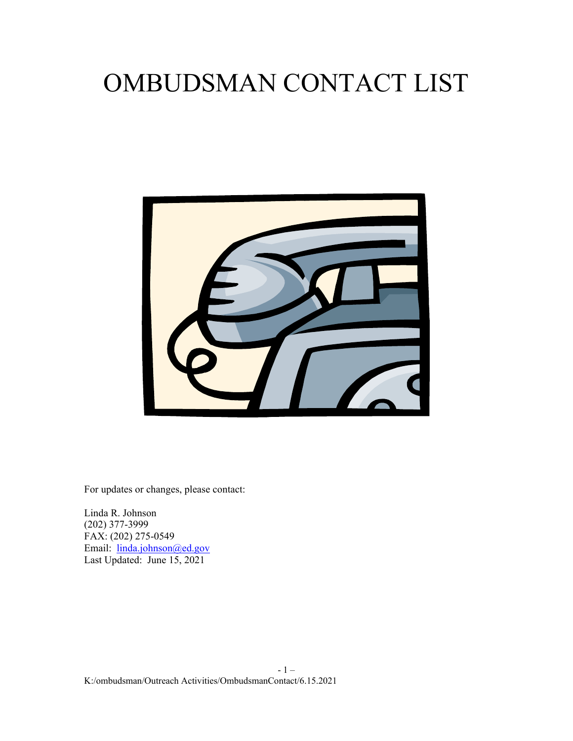# OMBUDSMAN CONTACT LIST



For updates or changes, please contact:

Linda R. Johnson (202) 377-3999 FAX: (202) 275-0549 Email: [linda.johnson@ed.gov](mailto:linda.johnson@ed.gov) Last Updated: June 15, 2021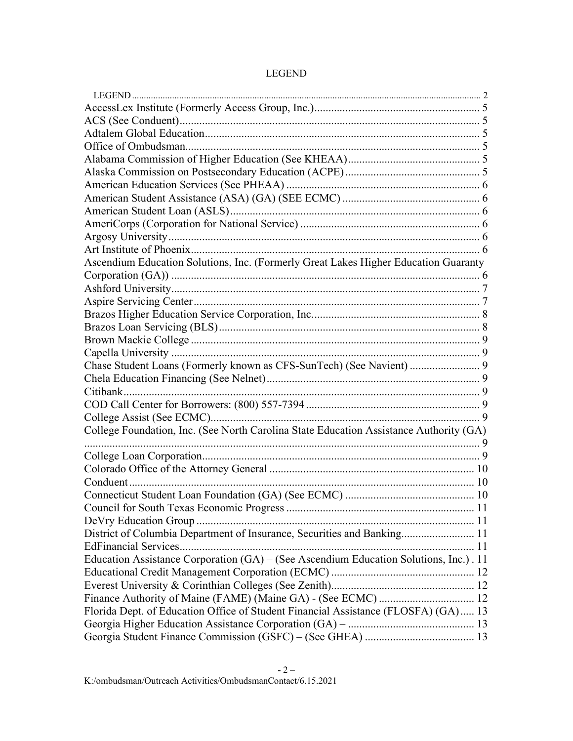| Ascendium Education Solutions, Inc. (Formerly Great Lakes Higher Education Guaranty    |  |
|----------------------------------------------------------------------------------------|--|
|                                                                                        |  |
|                                                                                        |  |
|                                                                                        |  |
|                                                                                        |  |
|                                                                                        |  |
|                                                                                        |  |
|                                                                                        |  |
| Chase Student Loans (Formerly known as CFS-SunTech) (See Navient)  9                   |  |
|                                                                                        |  |
|                                                                                        |  |
|                                                                                        |  |
|                                                                                        |  |
| College Foundation, Inc. (See North Carolina State Education Assistance Authority (GA) |  |
|                                                                                        |  |
|                                                                                        |  |
|                                                                                        |  |
|                                                                                        |  |
|                                                                                        |  |
|                                                                                        |  |
|                                                                                        |  |
| District of Columbia Department of Insurance, Securities and Banking 11                |  |
|                                                                                        |  |
| Education Assistance Corporation (GA) – (See Ascendium Education Solutions, Inc.). 11  |  |
|                                                                                        |  |
|                                                                                        |  |
|                                                                                        |  |
| Florida Dept. of Education Office of Student Financial Assistance (FLOSFA) (GA) 13     |  |
|                                                                                        |  |
|                                                                                        |  |

# LEGEND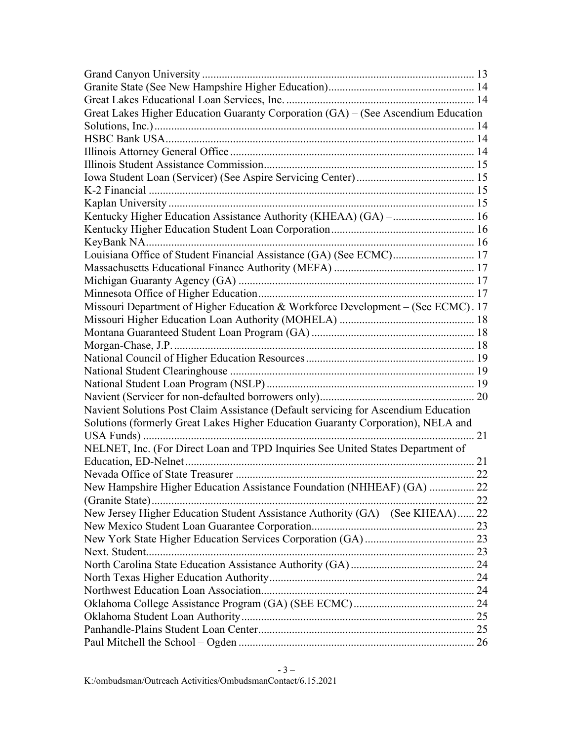| Great Lakes Higher Education Guaranty Corporation (GA) - (See Ascendium Education  |
|------------------------------------------------------------------------------------|
|                                                                                    |
|                                                                                    |
|                                                                                    |
|                                                                                    |
|                                                                                    |
|                                                                                    |
|                                                                                    |
| Kentucky Higher Education Assistance Authority (KHEAA) (GA) -  16                  |
|                                                                                    |
|                                                                                    |
| Louisiana Office of Student Financial Assistance (GA) (See ECMC) 17                |
|                                                                                    |
|                                                                                    |
|                                                                                    |
| Missouri Department of Higher Education & Workforce Development - (See ECMC). 17   |
|                                                                                    |
|                                                                                    |
|                                                                                    |
|                                                                                    |
|                                                                                    |
|                                                                                    |
|                                                                                    |
| Navient Solutions Post Claim Assistance (Default servicing for Ascendium Education |
| Solutions (formerly Great Lakes Higher Education Guaranty Corporation), NELA and   |
|                                                                                    |
| NELNET, Inc. (For Direct Loan and TPD Inquiries See United States Department of    |
|                                                                                    |
|                                                                                    |
| New Hampshire Higher Education Assistance Foundation (NHHEAF) (GA)  22             |
|                                                                                    |
| New Jersey Higher Education Student Assistance Authority (GA) – (See KHEAA) 22     |
|                                                                                    |
|                                                                                    |
|                                                                                    |
|                                                                                    |
|                                                                                    |
|                                                                                    |
|                                                                                    |
|                                                                                    |
|                                                                                    |
|                                                                                    |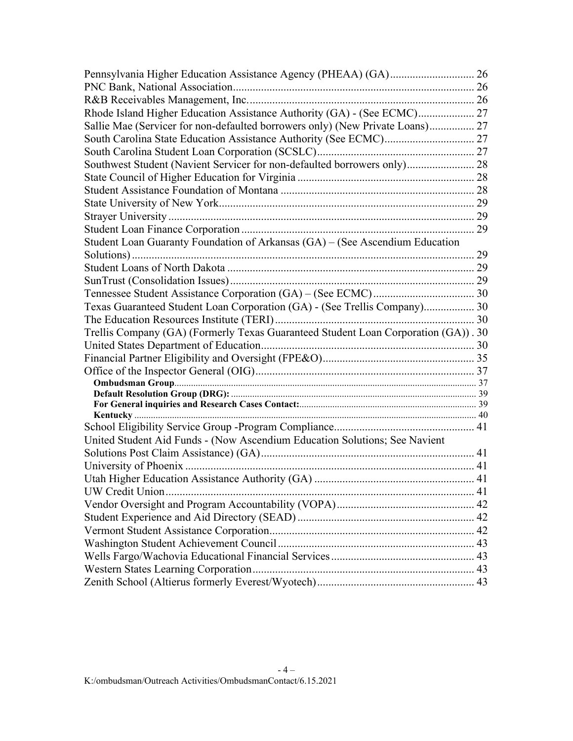| Rhode Island Higher Education Assistance Authority (GA) - (See ECMC) 27            |  |
|------------------------------------------------------------------------------------|--|
| Sallie Mae (Servicer for non-defaulted borrowers only) (New Private Loans) 27      |  |
|                                                                                    |  |
|                                                                                    |  |
| Southwest Student (Navient Servicer for non-defaulted borrowers only) 28           |  |
|                                                                                    |  |
|                                                                                    |  |
|                                                                                    |  |
|                                                                                    |  |
|                                                                                    |  |
| Student Loan Guaranty Foundation of Arkansas (GA) - (See Ascendium Education       |  |
|                                                                                    |  |
|                                                                                    |  |
|                                                                                    |  |
|                                                                                    |  |
| Texas Guaranteed Student Loan Corporation (GA) - (See Trellis Company) 30          |  |
|                                                                                    |  |
| Trellis Company (GA) (Formerly Texas Guaranteed Student Loan Corporation (GA)). 30 |  |
|                                                                                    |  |
|                                                                                    |  |
|                                                                                    |  |
|                                                                                    |  |
|                                                                                    |  |
|                                                                                    |  |
|                                                                                    |  |
|                                                                                    |  |
| United Student Aid Funds - (Now Ascendium Education Solutions; See Navient         |  |
|                                                                                    |  |
|                                                                                    |  |
|                                                                                    |  |
|                                                                                    |  |
|                                                                                    |  |
|                                                                                    |  |
|                                                                                    |  |
|                                                                                    |  |
|                                                                                    |  |
|                                                                                    |  |
|                                                                                    |  |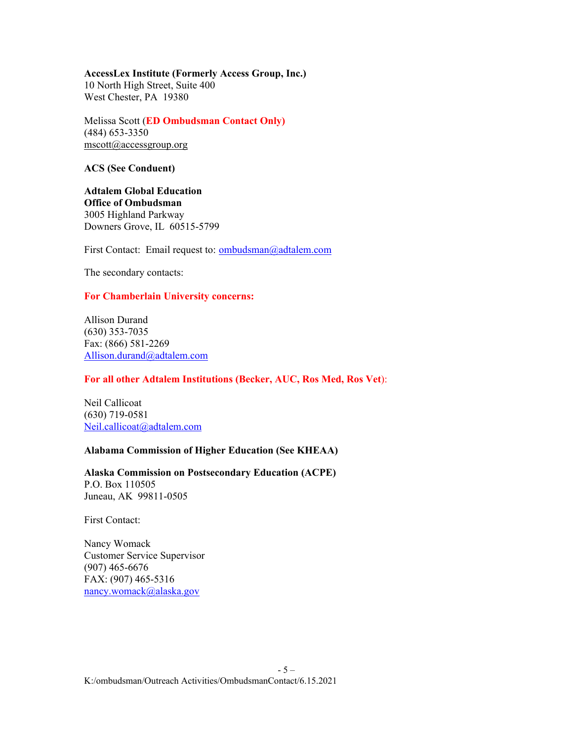#### **AccessLex Institute (Formerly Access Group, Inc.)**

10 North High Street, Suite 400 West Chester, PA 19380

Melissa Scott (**ED Ombudsman Contact Only)** (484) 653-3350  $mscott@accessgroup.org$ 

#### **ACS (See Conduent)**

**Adtalem Global Education Office of Ombudsman** 3005 Highland Parkway Downers Grove, IL 60515-5799

First Contact: Email request to: [ombudsman@adtalem.com](mailto:ombudsman@adtalem.com)

The secondary contacts:

# **For Chamberlain University concerns:**

Allison Durand (630) 353-7035 Fax: (866) 581-2269 [Allison.durand@adtalem.com](mailto:Allison.durand@adtalem.com)

# **For all other Adtalem Institutions (Becker, AUC, Ros Med, Ros Vet**):

Neil Callicoat (630) 719-0581 [Neil.callicoat@adtalem.com](mailto:Neil.callicoat@adtalem.com)

# **Alabama Commission of Higher Education (See KHEAA)**

**Alaska Commission on Postsecondary Education (ACPE)** P.O. Box 110505

Juneau, AK 99811-0505

First Contact:

Nancy Womack Customer Service Supervisor (907) 465-6676 FAX: (907) 465-5316 [nancy.womack@alaska.gov](mailto:nancy.womack@alaska.gov)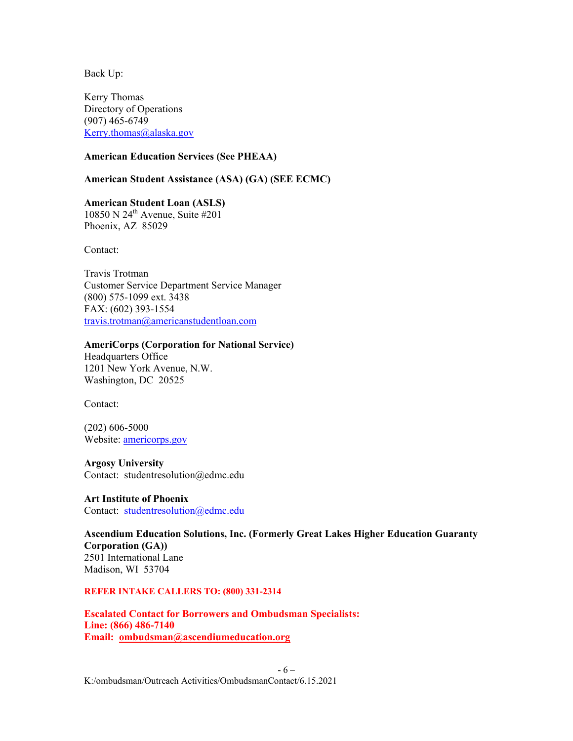Kerry Thomas Directory of Operations (907) 465-6749 [Kerry.thomas@alaska.gov](mailto:Kerry.thomas@alaska.gov)

## **American Education Services (See PHEAA)**

#### **American Student Assistance (ASA) (GA) (SEE ECMC)**

**American Student Loan (ASLS)** 10850 N 24th Avenue, Suite #201 Phoenix, AZ 85029

Contact:

Travis Trotman Customer Service Department Service Manager (800) 575-1099 ext. 3438 FAX: (602) 393-1554 [travis.trotman@americanstudentloan.com](mailto:Travis.trotman@americanstudentloan.com)

#### **AmeriCorps (Corporation for National Service)**

Headquarters Office 1201 New York Avenue, N.W. Washington, DC 20525

Contact:

(202) 606-5000 Website: [americorps.gov](mailto:dbakercummings@asa.org)

#### **Argosy University**

Contact: studentresolution@edmc.edu

#### **Art Institute of Phoenix** Contact: [studentresolution@edmc.edu](mailto:studentresolution@edmc.edu)

**Ascendium Education Solutions, Inc. (Formerly Great Lakes Higher Education Guaranty Corporation (GA))** 2501 International Lane Madison, WI 53704

#### **REFER INTAKE CALLERS TO: (800) 331-2314**

**Escalated Contact for Borrowers and Ombudsman Specialists: Line: (866) 486-7140 Email: [ombudsman@ascendiumeducation.org](mailto:ombudsman@ascendiumeducation.org)**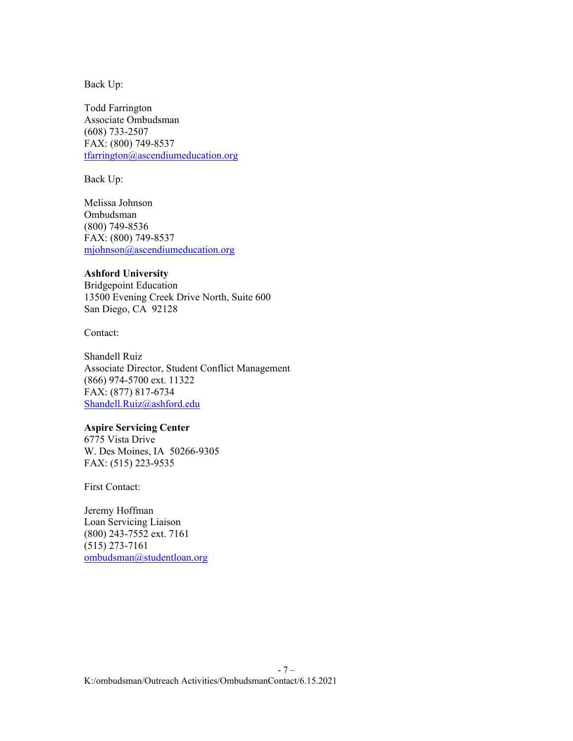Todd Farrington Associate Ombudsman (608) 733-2507 FAX: (800) 749-8537 [tfarrington@ascendiumeducation.org](mailto:tfarrington@ascendiumeducation.org)

Back Up:

Melissa Johnson Ombudsman (800) 749-8536 FAX: (800) 749-8537 [mjohnson@ascendiumeducation.org](mailto:mjohnson@ascendiumeducation.org)

#### **Ashford University**

Bridgepoint Education 13500 Evening Creek Drive North, Suite 600 San Diego, CA 92128

Contact:

Shandell Ruiz Associate Director, Student Conflict Management (866) 974-5700 ext. 11322 FAX: (877) 817-6734 [Shandell.Ruiz@ashford.edu](mailto:Shandell.Ruiz@ashford.edu)

# **Aspire Servicing Center**

6775 Vista Drive W. Des Moines, IA 50266-9305 FAX: (515) 223-9535

First Contact:

Jeremy Hoffman Loan Servicing Liaison (800) 243-7552 ext. 7161 (515) 273-7161 [ombudsman@studentloan.org](mailto:ombudsman@studentloan.org)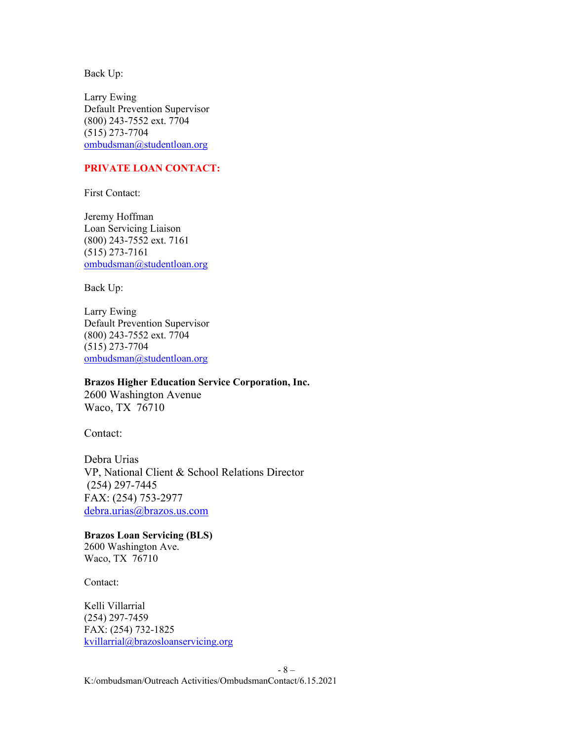Larry Ewing Default Prevention Supervisor (800) 243-7552 ext. 7704 (515) 273-7704 [ombudsman@studentloan.org](mailto:ombudsman@studentloan.org)

# **PRIVATE LOAN CONTACT:**

First Contact:

Jeremy Hoffman Loan Servicing Liaison (800) 243-7552 ext. 7161 (515) 273-7161 [ombudsman@studentloan.org](mailto:ombudsman@studentloan.org)

Back Up:

Larry Ewing Default Prevention Supervisor (800) 243-7552 ext. 7704 (515) 273-7704 [ombudsman@studentloan.org](mailto:ombudsman@studentloan.org)

#### **Brazos Higher Education Service Corporation, Inc.**

2600 Washington Avenue Waco, TX 76710

Contact:

Debra Urias VP, National Client & School Relations Director (254) 297-7445 FAX: (254) 753-2977 [debra.urias@brazos.us.com](mailto:debra.urias@brazos.us.com)

**Brazos Loan Servicing (BLS)**  2600 Washington Ave. Waco, TX 76710

Contact:

Kelli Villarrial (254) 297-7459 FAX: (254) 732-1825 [kvillarrial@brazosloanservicing.org](mailto:kvillarrial@brazosloanservicing.org)

K:/ombudsman/Outreach Activities/OmbudsmanContact/6.15.2021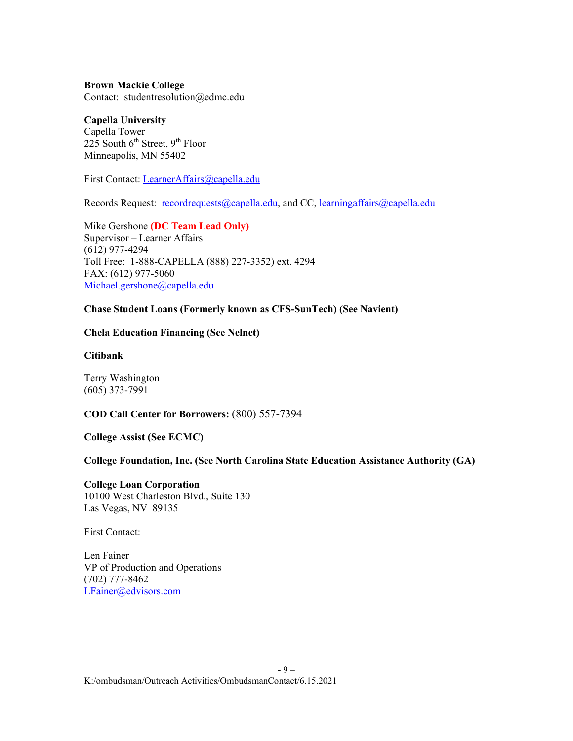**Brown Mackie College** Contact: studentresolution@edmc.edu

**Capella University** Capella Tower 225 South  $6^{th}$  Street,  $9^{th}$  Floor Minneapolis, MN 55402

First Contact: [LearnerAffairs@capella.edu](mailto:LearnerAffairs@capella.edu)

Records Request: [recordrequests@capella.edu,](mailto:recordrequests@capella.edu) and CC, [learningaffairs@capella.edu](mailto:learningaffairs@capella.edu)

Mike Gershone **(DC Team Lead Only)** Supervisor – Learner Affairs (612) 977-4294 Toll Free: 1-888-CAPELLA (888) 227-3352) ext. 4294 FAX: (612) 977-5060 [Michael.gershone@capella.edu](mailto:Michael.gershone@capella.edu)

# **Chase Student Loans (Formerly known as CFS-SunTech) (See Navient)**

#### **Chela Education Financing (See Nelnet)**

**Citibank**

Terry Washington (605) 373-7991

# **COD Call Center for Borrowers:** (800) 557-7394

#### **College Assist (See ECMC)**

**College Foundation, Inc. (See [North Carolina State Education Assistance Authority \(GA\)](#page-23-0)**

**College Loan Corporation** 10100 West Charleston Blvd., Suite 130 Las Vegas, NV 89135

First Contact:

Len Fainer VP of Production and Operations (702) 777-8462 [LFainer@edvisors.com](mailto:LFainer@edvisors.com)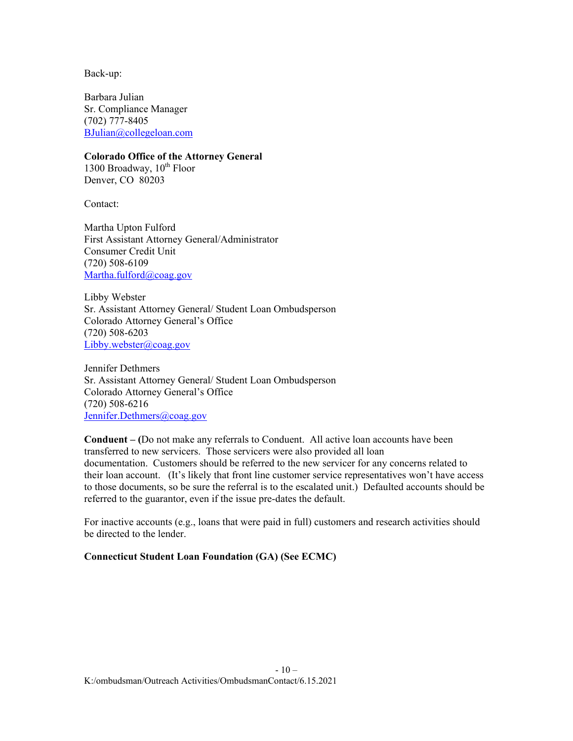Back-up:

Barbara Julian Sr. Compliance Manager (702) 777-8405 [BJulian@collegeloan.com](mailto:BJulian@collegeloan.com)

**Colorado Office of the Attorney General** 1300 Broadway,  $10^{th}$  Floor Denver, CO 80203

Contact:

Martha Upton Fulford First Assistant Attorney General/Administrator Consumer Credit Unit (720) 508-6109 [Martha.fulford@coag.gov](mailto:Martha.fulford@coag.gov)

Libby Webster Sr. Assistant Attorney General/ Student Loan Ombudsperson Colorado Attorney General's Office (720) 508-6203 [Libby.webster@coag.gov](mailto:Libby.webster@coag.gov)

Jennifer Dethmers Sr. Assistant Attorney General/ Student Loan Ombudsperson Colorado Attorney General's Office (720) 508-6216 [Jennifer.Dethmers@coag.gov](mailto:Jennifer.Dethmers@coag.gov)

**Conduent – (**Do not make any referrals to Conduent. All active loan accounts have been transferred to new servicers. Those servicers were also provided all loan documentation. Customers should be referred to the new servicer for any concerns related to their loan account. (It's likely that front line customer service representatives won't have access to those documents, so be sure the referral is to the escalated unit.) Defaulted accounts should be referred to the guarantor, even if the issue pre-dates the default.

For inactive accounts (e.g., loans that were paid in full) customers and research activities should be directed to the lender.

# **Connecticut Student Loan Foundation (GA) (See ECMC)**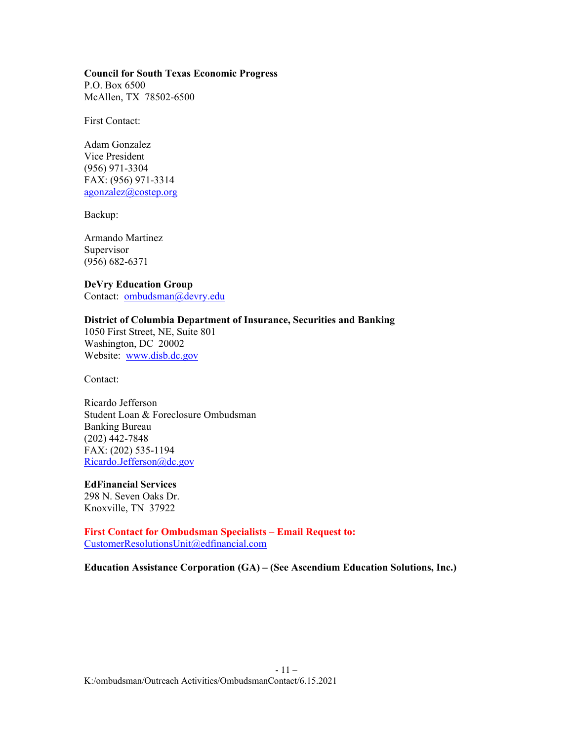#### **Council for South Texas Economic Progress**

P.O. Box 6500 McAllen, TX 78502-6500

First Contact:

Adam Gonzalez Vice President (956) 971-3304 FAX: (956) 971-3314 [agonzalez@costep.org](mailto:agonzalez@costep.org)

Backup:

Armando Martinez Supervisor (956) 682-6371

#### **DeVry Education Group**  Contact: [ombudsman@devry.edu](mailto:ombudsman@devry.edu)

# **District of Columbia Department of Insurance, Securities and Banking**

1050 First Street, NE, Suite 801 Washington, DC 20002 Website: [www.disb.dc.gov](http://www.disb.dc.gov/)

Contact:

Ricardo Jefferson Student Loan & Foreclosure Ombudsman Banking Bureau (202) 442-7848 FAX: (202) 535-1194 [Ricardo.Jefferson@dc.gov](mailto:Ricardo.Jefferson@dc.gov)

# **EdFinancial Services**

298 N. Seven Oaks Dr. Knoxville, TN 37922

**First Contact for Ombudsman Specialists – Email Request to:** [CustomerResolutionsUnit@edfinancial.com](mailto:CustomerResolutionsUnit@edfinancial.com)

**Education Assistance Corporation (GA) – (See Ascendium Education Solutions, Inc.)**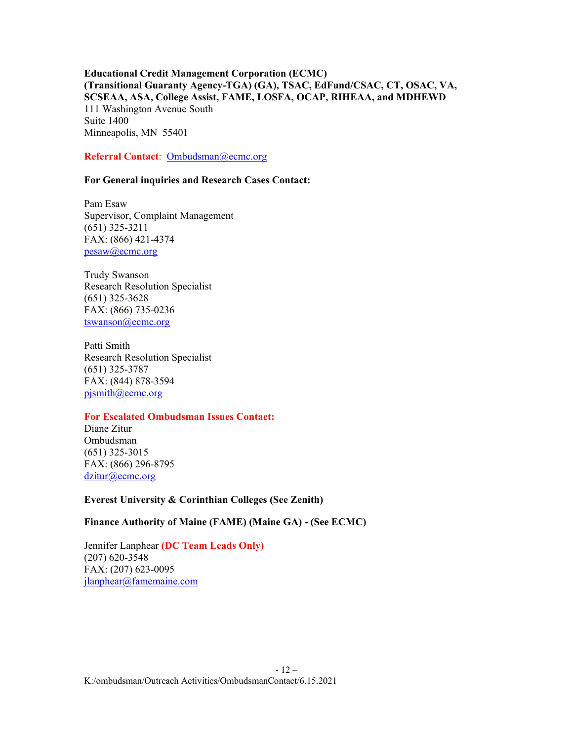**Educational Credit Management Corporation (ECMC) (Transitional Guaranty Agency-TGA) (GA), TSAC, EdFund/CSAC, CT, OSAC, VA, SCSEAA, ASA, College Assist, FAME, LOSFA, OCAP, RIHEAA, and MDHEWD** 111 Washington Avenue South Suite 1400 Minneapolis, MN 55401

## **Referral Contact**: [Ombudsman@ecmc.org](mailto:Ombudsman@ecmc.org)

# **For General inquiries and Research Cases Contact:**

Pam Esaw Supervisor, Complaint Management (651) 325-3211 FAX: (866) 421-4374 [pesaw@ecmc.org](mailto:pesaw@ecmc.org)

Trudy Swanson Research Resolution Specialist (651) 325-3628 FAX: (866) 735-0236 [tswanson@ecmc.org](mailto:tswanson@ecmc.org)

Patti Smith Research Resolution Specialist (651) 325-3787 FAX: (844) 878-3594 [pjsmith@ecmc.org](mailto:pjsmith@ecmc.org)

## **For Escalated Ombudsman Issues Contact:**

Diane Zitur Ombudsman (651) 325-3015 FAX: (866) 296-8795 [dzitur@ecmc.org](mailto:dzitur@ecmc.org)

**Everest University & Corinthian Colleges (See Zenith)**

## **Finance Authority of Maine (FAME) (Maine GA) - (See ECMC)**

Jennifer Lanphear **(DC Team Leads Only)** (207) 620-3548 FAX: (207) 623-0095 [jlanphear@famemaine.com](mailto:jlanphear@famemaine.com)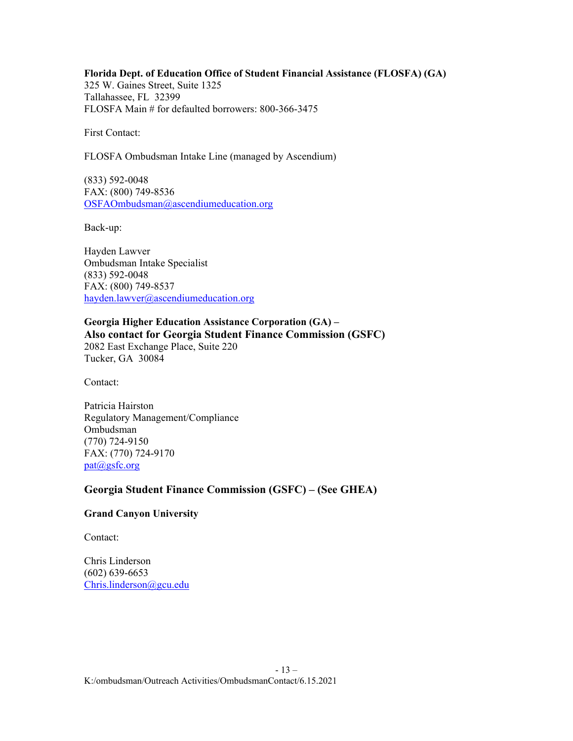**Florida Dept. of Education Office of Student Financial Assistance (FLOSFA) (GA)** 325 W. Gaines Street, Suite 1325 Tallahassee, FL 32399 FLOSFA Main # for defaulted borrowers: 800-366-3475

First Contact:

FLOSFA Ombudsman Intake Line (managed by Ascendium)

(833) 592-0048 FAX: (800) 749-8536 OSFAOmbudsman@ascendiumeducation.org

Back-up:

Hayden Lawver Ombudsman Intake Specialist (833) 592-0048 FAX: (800) 749-8537 [hayden.lawver@ascendiumeducation.org](mailto:hayden.lawver@ascendiumeducation.org)

# **Georgia Higher Education Assistance Corporation (GA) – Also contact for Georgia Student Finance Commission (GSFC)** 2082 East Exchange Place, Suite 220

Tucker, GA 30084

Contact:

Patricia Hairston Regulatory Management/Compliance Ombudsman (770) 724-9150 FAX: (770) 724-9170 [pat@gsfc.org](mailto:pat@gsfc.org)

# **Georgia Student Finance Commission (GSFC) – (See GHEA)**

# **Grand Canyon University**

Contact:

Chris Linderson (602) 639-6653 [Chris.linderson@gcu.edu](mailto:Chris.linderson@gcu.edu)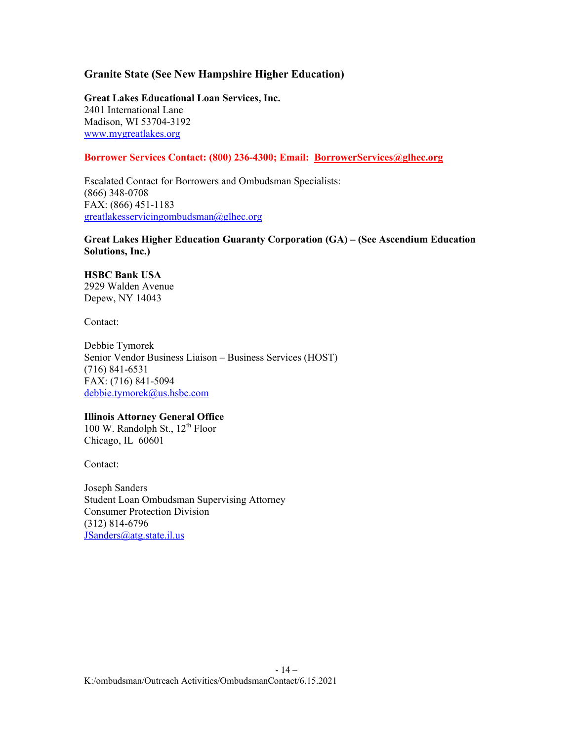# **Granite State (See New Hampshire Higher Education)**

**Great Lakes Educational Loan Services, Inc.**  2401 International Lane Madison, WI 53704-3192 [www.mygreatlakes.org](http://www.mygreatlakes.org/)

# **Borrower Services Contact: (800) 236-4300; Email: [BorrowerServices@glhec.org](mailto:BorrowerServices@glhec.org)**

Escalated Contact for Borrowers and Ombudsman Specialists: (866) 348-0708 FAX: (866) 451-1183 [greatlakesservicingombudsman@glhec.org](mailto:greatlakesservicingombudsman@glhec.org)

# **Great Lakes Higher Education Guaranty Corporation (GA) – (See Ascendium Education Solutions, Inc.)**

#### **HSBC Bank USA** 2929 Walden Avenue

Depew, NY 14043

Contact:

Debbie Tymorek Senior Vendor Business Liaison – Business Services (HOST) (716) 841-6531 FAX: (716) 841-5094 [debbie.tymorek@us.hsbc.com](mailto:debbie.tymorek@us.hsbc.com)

# **Illinois Attorney General Office**

100 W. Randolph St.,  $12^{th}$  Floor Chicago, IL 60601

Contact:

Joseph Sanders Student Loan Ombudsman Supervising Attorney Consumer Protection Division (312) 814-6796 [JSanders@atg.state.il.us](mailto:JSanders@atg.state.il.us)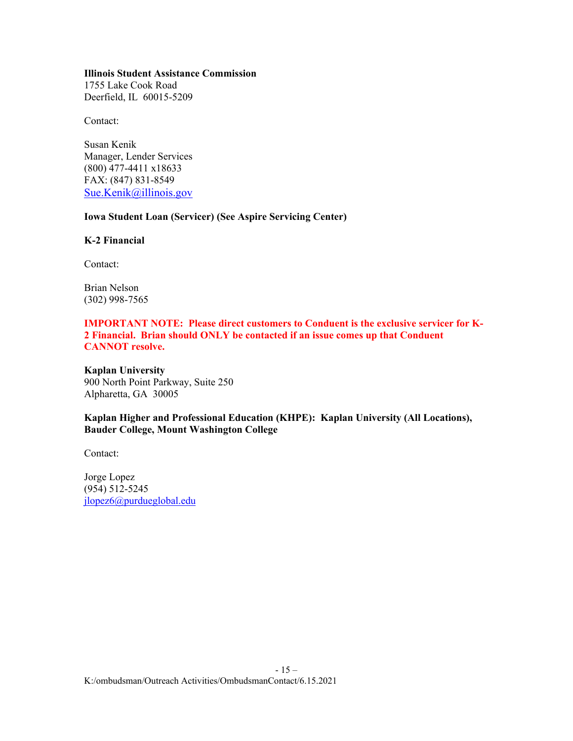#### **Illinois Student Assistance Commission**

1755 Lake Cook Road Deerfield, IL 60015-5209

Contact:

Susan Kenik Manager, Lender Services (800) 477-4411 x18633 FAX: (847) 831-8549 [Sue.Kenik@illinois.gov](mailto:Sue.Kenik@illinois.gov)

# **Iowa Student Loan (Servicer) (See Aspire Servicing Center)**

**K-2 Financial**

Contact:

Brian Nelson (302) 998-7565

# **IMPORTANT NOTE: Please direct customers to Conduent is the exclusive servicer for K-2 Financial. Brian should ONLY be contacted if an issue comes up that Conduent CANNOT resolve.**

**Kaplan University** 900 North Point Parkway, Suite 250 Alpharetta, GA 30005

# **Kaplan Higher and Professional Education (KHPE): Kaplan University (All Locations), Bauder College, Mount Washington College**

Contact:

Jorge Lopez (954) 512-5245 [jlopez6@purdueglobal.edu](mailto:jlopez6@purdueglobal.edu)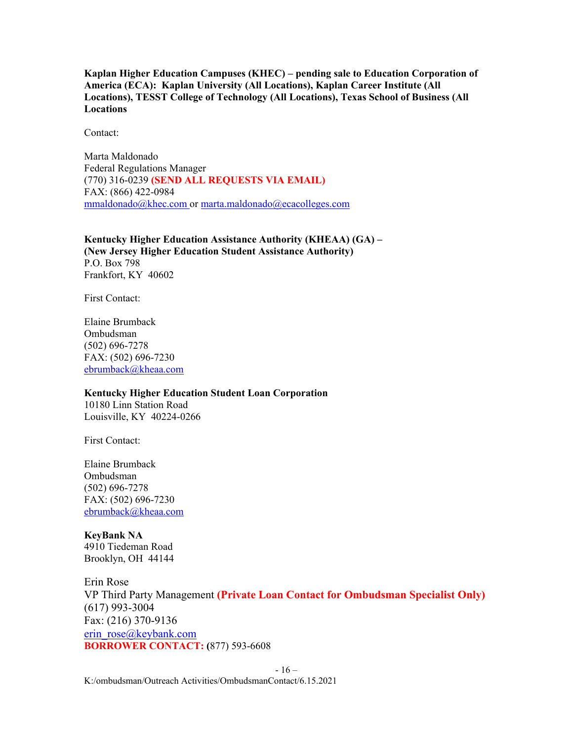**Kaplan Higher Education Campuses (KHEC) – pending sale to Education Corporation of America (ECA): Kaplan University (All Locations), Kaplan Career Institute (All Locations), TESST College of Technology (All Locations), Texas School of Business (All Locations**

Contact:

Marta Maldonado Federal Regulations Manager (770) 316-0239 **(SEND ALL REQUESTS VIA EMAIL)** FAX: (866) 422-0984 [mmaldonado@khec.com](mailto:mmaldonado@khec.com) or [marta.maldonado@ecacolleges.com](mailto:marta.maldonado@ecacolleges.com)

**Kentucky Higher Education Assistance Authority (KHEAA) (GA) – (New Jersey Higher Education Student Assistance Authority)** P.O. Box 798 Frankfort, KY 40602

First Contact:

Elaine Brumback Ombudsman (502) 696-7278 FAX: (502) 696-7230 [ebrumback@kheaa.com](mailto:ebrumback@kheaa.com)

#### **Kentucky Higher Education Student Loan Corporation**

10180 Linn Station Road Louisville, KY 40224-0266

First Contact:

Elaine Brumback Ombudsman (502) 696-7278 FAX: (502) 696-7230 [ebrumback@kheaa.com](mailto:ebrumback@kheaa.com)

# **KeyBank NA**

4910 Tiedeman Road Brooklyn, OH 44144

Erin Rose VP Third Party Management **(Private Loan Contact for Ombudsman Specialist Only)** (617) 993-3004 Fax: (216) 370-9136 [erin\\_rose@keybank.com](mailto:erin_rose@keybank.com) **BORROWER CONTACT: (**877) 593-6608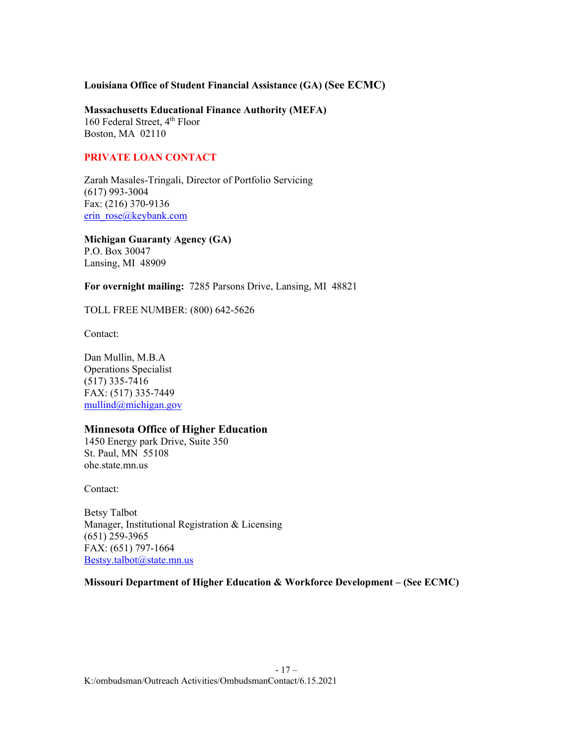**Louisiana Office of Student Financial Assistance (GA) (See ECMC)**

**Massachusetts Educational Finance Authority (MEFA)**  160 Federal Street,  $4<sup>th</sup>$  Floor Boston, MA 02110

# **PRIVATE LOAN CONTACT**

Zarah Masales-Tringali, Director of Portfolio Servicing (617) 993-3004 Fax: (216) 370-9136 [erin\\_rose@keybank.com](mailto:erin_rose@keybank.com)

**Michigan Guaranty Agency (GA)** P.O. Box 30047 Lansing, MI 48909

**For overnight mailing:** 7285 Parsons Drive, Lansing, MI 48821

TOLL FREE NUMBER: (800) 642-5626

Contact:

Dan Mullin, M.B.A Operations Specialist (517) 335-7416 FAX: (517) 335-7449 [mullind@michigan.gov](mailto:mullind@michigan.gov)

# **Minnesota Office of Higher Education**

1450 Energy park Drive, Suite 350 St. Paul, MN 55108 ohe.state.mn.us

Contact:

Betsy Talbot Manager, Institutional Registration & Licensing (651) 259-3965 FAX: (651) 797-1664 [Bestsy.talbot@state.mn.us](mailto:Bestsy.talbot@state.mn.us)

# **Missouri Department of Higher Education & Workforce Development – (See ECMC)**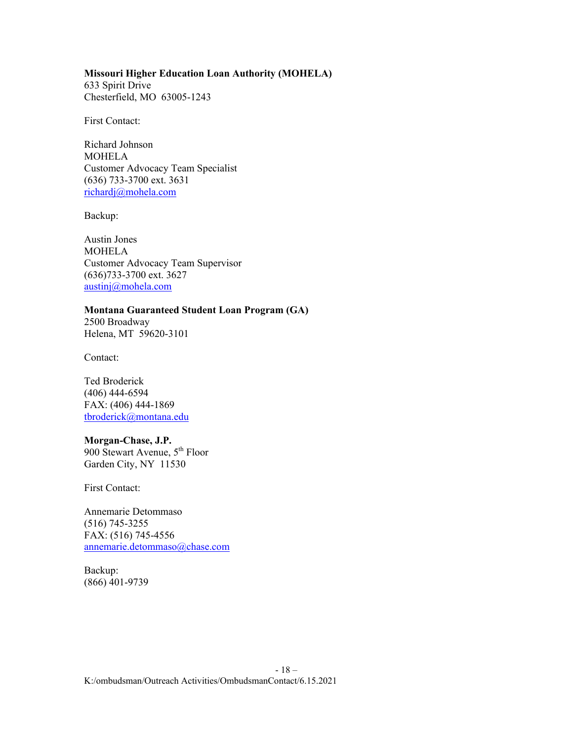#### **Missouri Higher Education Loan Authority (MOHELA)**

633 Spirit Drive Chesterfield, MO 63005-1243

First Contact:

Richard Johnson **MOHELA** Customer Advocacy Team Specialist (636) 733-3700 ext. 3631 [richardj@mohela.com](mailto:richardj@mohela.com)

Backup:

Austin Jones MOHELA Customer Advocacy Team Supervisor (636)733-3700 ext. 3627 [austinj@mohela.com](mailto:austinj@mohela.com) 

## **Montana Guaranteed Student Loan Program (GA)**

2500 Broadway Helena, MT 59620-3101

Contact:

Ted Broderick (406) 444-6594 FAX: (406) 444-1869 [tbroderick@montana.edu](mailto:tbroderick@mgslp.state.mt.us)

#### **Morgan-Chase, J.P.**

900 Stewart Avenue, 5<sup>th</sup> Floor Garden City, NY 11530

First Contact:

Annemarie Detommaso (516) 745-3255 FAX: (516) 745-4556 [annemarie.detommaso@chase.com](mailto:Ernest.Schroeder@chase.come)

Backup: (866) 401-9739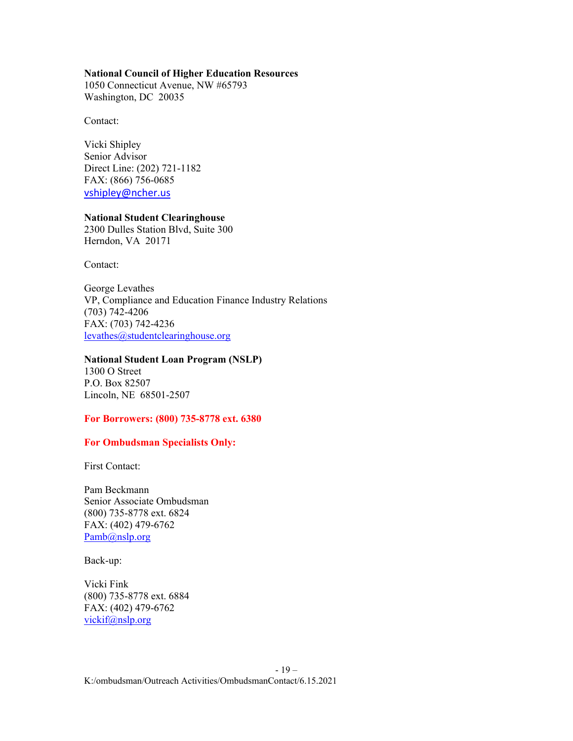#### **National Council of Higher Education Resources**

1050 Connecticut Avenue, NW #65793 Washington, DC 20035

Contact:

Vicki Shipley Senior Advisor Direct Line: (202) 721-1182 FAX: (866) 756-0685 [vshipley@ncher.us](mailto:vshipley@ncher.us)

#### **National Student Clearinghouse**

2300 Dulles Station Blvd, Suite 300 Herndon, VA 20171

Contact:

George Levathes VP, Compliance and Education Finance Industry Relations (703) 742-4206 FAX: (703) 742-4236 [levathes@studentclearinghouse.org](mailto:levathes@studentclearinghouse.org) 

# **National Student Loan Program (NSLP)**

1300 O Street P.O. Box 82507 Lincoln, NE 68501-2507

## **For Borrowers: (800) 735-8778 ext. 6380**

## **For Ombudsman Specialists Only:**

First Contact:

Pam Beckmann Senior Associate Ombudsman (800) 735-8778 ext. 6824 FAX: (402) 479-6762 [Pamb@nslp.org](mailto:Pamb@nslp.org)

Back-up:

Vicki Fink (800) 735-8778 ext. 6884 FAX: (402) 479-6762 [vickif@nslp.org](mailto:vickif@nslp.org)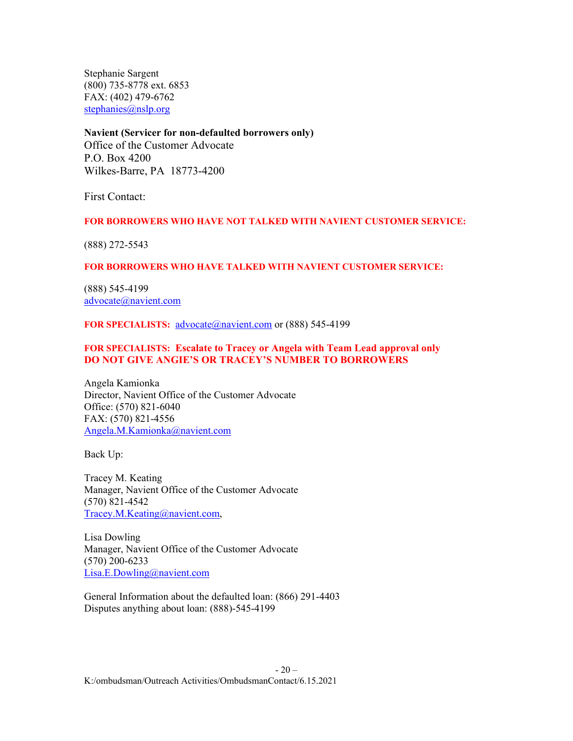Stephanie Sargent (800) 735-8778 ext. 6853 FAX: (402) 479-6762 [stephanies@nslp.org](mailto:stephanies@nslp.org)

## **Navient (Servicer for non-defaulted borrowers only)**

Office of the Customer Advocate P.O. Box 4200 Wilkes-Barre, PA 18773-4200

First Contact:

## **FOR BORROWERS WHO HAVE NOT TALKED WITH NAVIENT CUSTOMER SERVICE:**

(888) 272-5543

## **FOR BORROWERS WHO HAVE TALKED WITH NAVIENT CUSTOMER SERVICE:**

(888) 545-4199 [advocate@navient.com](mailto:advocate@navient.com)

FOR SPECIALISTS: [advocate@navient.com](mailto:advocate@navient.com) or (888) 545-4199

# **FOR SPECIALISTS: Escalate to Tracey or Angela with Team Lead approval only DO NOT GIVE ANGIE'S OR TRACEY'S NUMBER TO BORROWERS**

Angela Kamionka Director, Navient Office of the Customer Advocate Office: (570) 821-6040 FAX: (570) 821-4556 [Angela.M.Kamionka@navient.com](mailto:Angela.M.Kamionka@navient.com)

Back Up:

Tracey M. Keating Manager, Navient Office of the Customer Advocate (570) 821-4542 [Tracey.M.Keating@navient.com,](mailto:Tracey.M.Keating@navient.com)

Lisa Dowling Manager, Navient Office of the Customer Advocate (570) 200-6233 [Lisa.E.Dowling@navient.com](mailto:Lisa.E.Dowling@navient.com)

General Information about the defaulted loan: (866) 291-4403 Disputes anything about loan: (888)-545-4199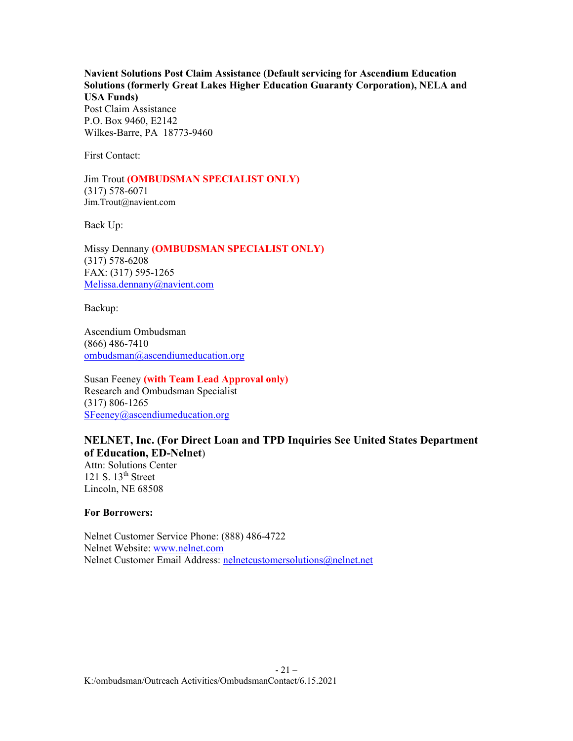**Navient Solutions Post Claim Assistance (Default servicing for Ascendium Education Solutions (formerly Great Lakes Higher Education Guaranty Corporation), NELA and USA Funds)** Post Claim Assistance

P.O. Box 9460, E2142 Wilkes-Barre, PA 18773-9460

First Contact:

Jim Trout **(OMBUDSMAN SPECIALIST ONLY)** (317) 578-6071 Jim.Trout@navient.com

Back Up:

Missy Dennany **(OMBUDSMAN SPECIALIST ONLY)** (317) 578-6208 FAX: (317) 595-1265 [Melissa.dennany@navient.com](mailto:Melissa.dennany@navient.com)

Backup:

Ascendium Ombudsman (866) 486-7410 [ombudsman@ascendiumeducation.org](mailto:ombudsman@ascendiumeducation.org)

Susan Feeney **(with Team Lead Approval only)** Research and Ombudsman Specialist (317) 806-1265 [SFeeney@ascendiumeducation.org](mailto:SFeeney@ascendiumeducation.org)

# **NELNET, Inc. (For Direct Loan and TPD Inquiries See United States Department of Education, ED-Nelnet**)

Attn: Solutions Center 121 S.  $13<sup>th</sup>$  Street Lincoln, NE 68508

**For Borrowers:**

Nelnet Customer Service Phone: (888) 486-4722 Nelnet Website: [www.nelnet.com](http://www.nelnet.com/) Nelnet Customer Email Address: [nelnetcustomersolutions@nelnet.net](mailto:nelnetcustomersolutions@nelnet.net)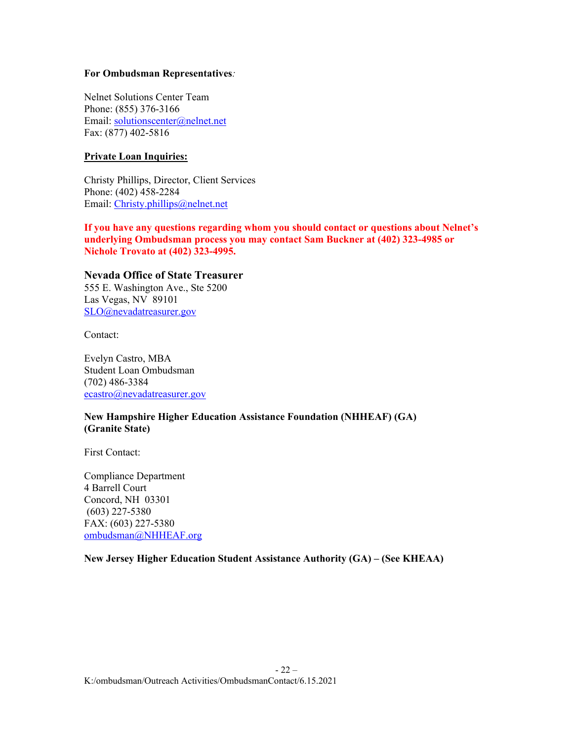## **For Ombudsman Representatives***:*

Nelnet Solutions Center Team Phone: (855) 376-3166 Email: [solutionscenter@nelnet.net](mailto:solutionscenter@nelnet.net) Fax: (877) 402-5816

# **Private Loan Inquiries:**

Christy Phillips, Director, Client Services Phone: (402) 458-2284 Email: [Christy.phillips@nelnet.net](mailto:Christy.phillips@nelnet.net)

**If you have any questions regarding whom you should contact or questions about Nelnet's underlying Ombudsman process you may contact Sam Buckner at (402) 323-4985 or Nichole Trovato at (402) 323-4995.**

# **Nevada Office of State Treasurer**

555 E. Washington Ave., Ste 5200 Las Vegas, NV 89101 [SLO@nevadatreasurer.gov](mailto:SLO@nevadatreasurer.gov)

Contact:

Evelyn Castro, MBA Student Loan Ombudsman (702) 486-3384 [ecastro@nevadatreasurer.gov](mailto:ecastro@nevadatreasurer.gov)

# **New Hampshire Higher Education Assistance Foundation (NHHEAF) (GA) (Granite State)**

First Contact:

Compliance Department 4 Barrell Court Concord, NH 03301 (603) 227-5380 FAX: (603) 227-5380 [ombudsman@NHHEAF.org](mailto:ombudsman@NHHEAF.org)

**New Jersey Higher Education Student Assistance Authority (GA) – (See KHEAA)**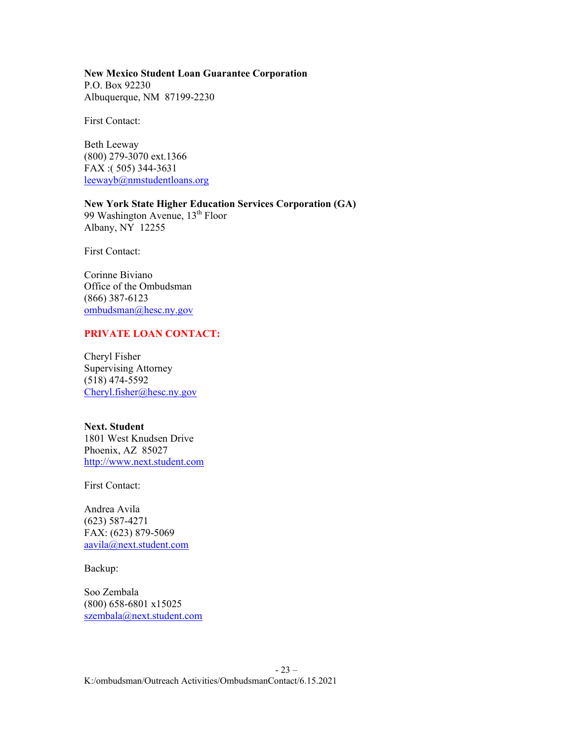**New Mexico Student Loan Guarantee Corporation** P.O. Box 92230 Albuquerque, NM 87199-2230

First Contact:

Beth Leeway (800) 279-3070 ext.1366 FAX :( 505) 344-3631 [leewayb@nmstudentloans.org](mailto:leewayb@nmstudentloans.org)

**New York State Higher Education Services Corporation (GA)** 99 Washington Avenue, 13<sup>th</sup> Floor

First Contact:

Albany, NY 12255

Corinne Biviano Office of the Ombudsman (866) 387-6123 [ombudsman@hesc.ny.gov](mailto:ombudsman@hesc.ny.gov)

### **PRIVATE LOAN CONTACT:**

Cheryl Fisher Supervising Attorney (518) 474-5592 [Cheryl.fisher@hesc.ny.gov](mailto:Cheryl.fisher@hesc.ny.gov)

**Next. Student** 1801 West Knudsen Drive Phoenix, AZ 85027 [http://www.next.student.com](http://www.nextstudent.com/)

First Contact:

Andrea Avila (623) 587-4271 FAX: (623) 879-5069 [aavila@next.student.com](mailto:aavila@nextstudent.com)

Backup:

Soo Zembala (800) 658-6801 x15025 [szembala@next.student.com](mailto:szembala@nextstudent.com)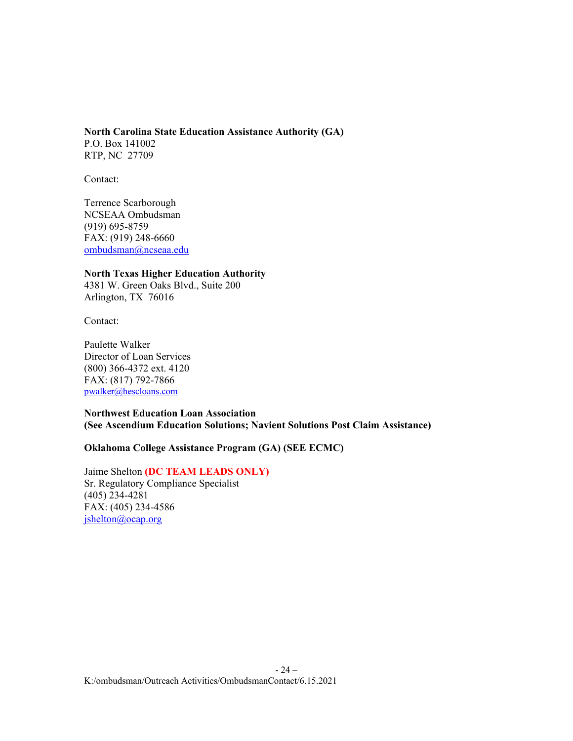<span id="page-23-0"></span>**North Carolina State Education Assistance Authority (GA)** P.O. Box 141002 RTP, NC 27709

Contact:

Terrence Scarborough NCSEAA Ombudsman (919) 695-8759 FAX: (919) 248-6660 [ombudsman@ncseaa.edu](mailto:ombudsman@ncseaa.edu)

**North Texas Higher Education Authority** 4381 W. Green Oaks Blvd., Suite 200 Arlington, TX 76016

Contact:

Paulette Walker Director of Loan Services (800) 366-4372 ext. 4120 FAX: (817) 792-7866 [pwalker@hescloans.com](mailto:pwalker@hescloans.com)

**Northwest Education Loan Association (See Ascendium Education Solutions; Navient Solutions Post Claim Assistance)**

# **Oklahoma College Assistance Program (GA) (SEE ECMC)**

Jaime Shelton **(DC TEAM LEADS ONLY)** Sr. Regulatory Compliance Specialist (405) 234-4281 FAX: (405) 234-4586 [jshelton@ocap.org](mailto:jshelton@ocap.org)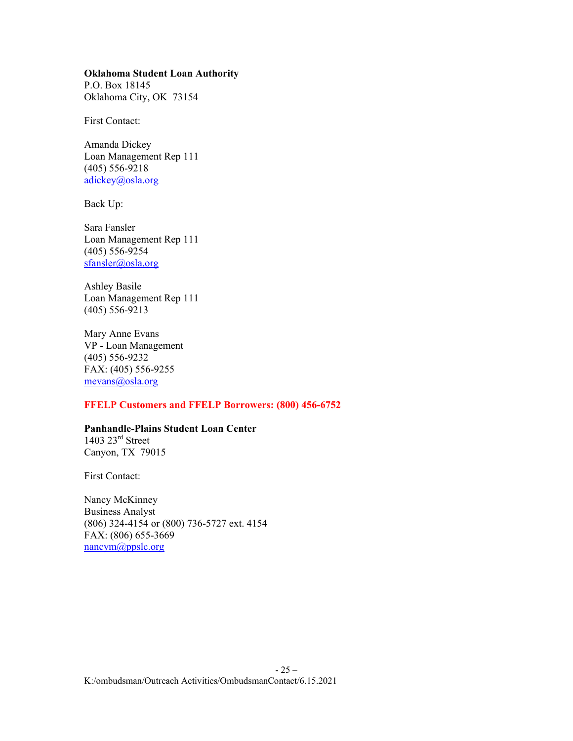#### **Oklahoma Student Loan Authority**

P.O. Box 18145 Oklahoma City, OK 73154

First Contact:

Amanda Dickey Loan Management Rep 111 (405) 556-9218 [adickey@osla.org](mailto:adickey@osla.org)

Back Up:

Sara Fansler Loan Management Rep 111 (405) 556-9254 [sfansler@osla.org](mailto:sfansler@osla.org)

Ashley Basile Loan Management Rep 111 (405) 556-9213

Mary Anne Evans VP - Loan Management (405) 556-9232 FAX: (405) 556-9255 [mevans@osla.org](mailto:mevans@osla.org)

# **FFELP Customers and FFELP Borrowers: (800) 456-6752**

# **Panhandle-Plains Student Loan Center**

 $1403$   $23<sup>rd</sup>$  Street Canyon, TX 79015

First Contact:

Nancy McKinney Business Analyst (806) 324-4154 or (800) 736-5727 ext. 4154 FAX: (806) 655-3669 [nancym@ppslc.org](mailto:susiem@ppslc.org)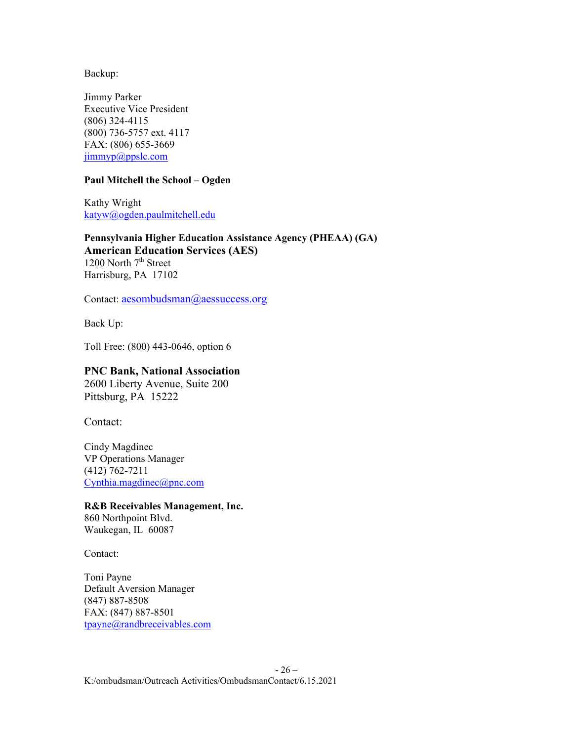Backup:

Jimmy Parker Executive Vice President (806) 324-4115 (800) 736-5757 ext. 4117 FAX: (806) 655-3669 [jimmyp@ppslc.com](mailto:amys@ppslc.com)

# **Paul Mitchell the School – Ogden**

Kathy Wright [katyw@ogden.paulmitchell.edu](mailto:katyw@ogden.paulmitchell.edu)

**Pennsylvania Higher Education Assistance Agency (PHEAA) (GA) American Education Services (AES)**  1200 North 7<sup>th</sup> Street Harrisburg, PA 17102

Contact: [aesombudsman@aessuccess.org](mailto:aesombudsman@aessuccess.org)

Back Up:

Toll Free: (800) 443-0646, option 6

#### **PNC Bank, National Association**

2600 Liberty Avenue, Suite 200 Pittsburg, PA 15222

Contact:

Cindy Magdinec VP Operations Manager (412) 762-7211 [Cynthia.magdinec@pnc.com](mailto:Cynthia.magdinec@pnc.com)

#### **R&B Receivables Management, Inc.**

860 Northpoint Blvd. Waukegan, IL 60087

Contact:

Toni Payne Default Aversion Manager (847) 887-8508 FAX: (847) 887-8501 [tpayne@randbreceivables.com](mailto:tpayne@randbreceivables.com)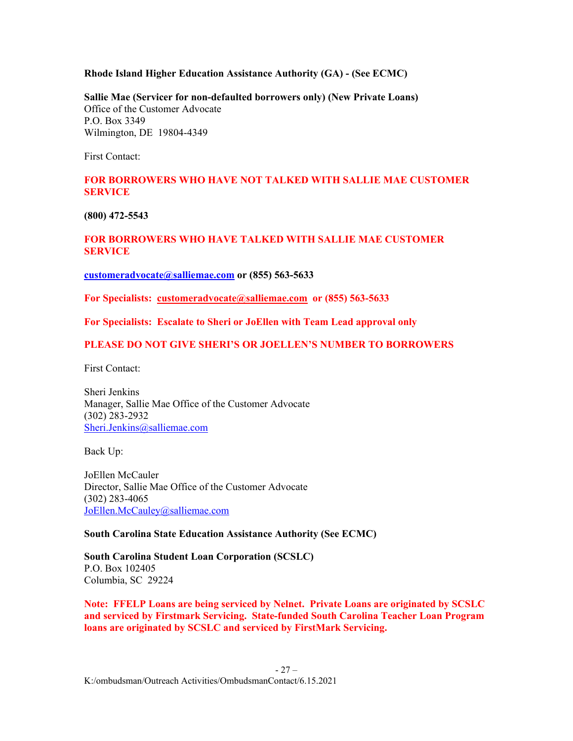#### **Rhode Island Higher Education Assistance Authority (GA) - (See ECMC)**

**Sallie Mae (Servicer for non-defaulted borrowers only) (New Private Loans)** Office of the Customer Advocate P.O. Box 3349 Wilmington, DE 19804-4349

First Contact:

# **FOR BORROWERS WHO HAVE NOT TALKED WITH SALLIE MAE CUSTOMER SERVICE**

**(800) 472-5543**

# **FOR BORROWERS WHO HAVE TALKED WITH SALLIE MAE CUSTOMER SERVICE**

**[customeradvocate@salliemae.com](mailto:customeradvocate@salliemae.com) or (855) 563-5633**

**For Specialists: [customeradvocate@salliemae.com](mailto:customeradvocate@salliemae.com) or (855) 563-5633**

**For Specialists: Escalate to Sheri or JoEllen with Team Lead approval only**

#### **PLEASE DO NOT GIVE SHERI'S OR JOELLEN'S NUMBER TO BORROWERS**

First Contact:

Sheri Jenkins Manager, Sallie Mae Office of the Customer Advocate (302) 283-2932 [Sheri.Jenkins@salliemae.com](mailto:Sheri.Jenkins@salliemae.com)

Back Up:

JoEllen McCauler Director, Sallie Mae Office of the Customer Advocate (302) 283-4065 [JoEllen.McCauley@salliemae.com](mailto:JoEllen.McCauley@salliemae.com)

#### **South Carolina State Education Assistance Authority (See ECMC)**

**South Carolina Student Loan Corporation (SCSLC)** P.O. Box 102405 Columbia, SC 29224

**Note: FFELP Loans are being serviced by Nelnet. Private Loans are originated by SCSLC and serviced by Firstmark Servicing. State-funded South Carolina Teacher Loan Program loans are originated by SCSLC and serviced by FirstMark Servicing.**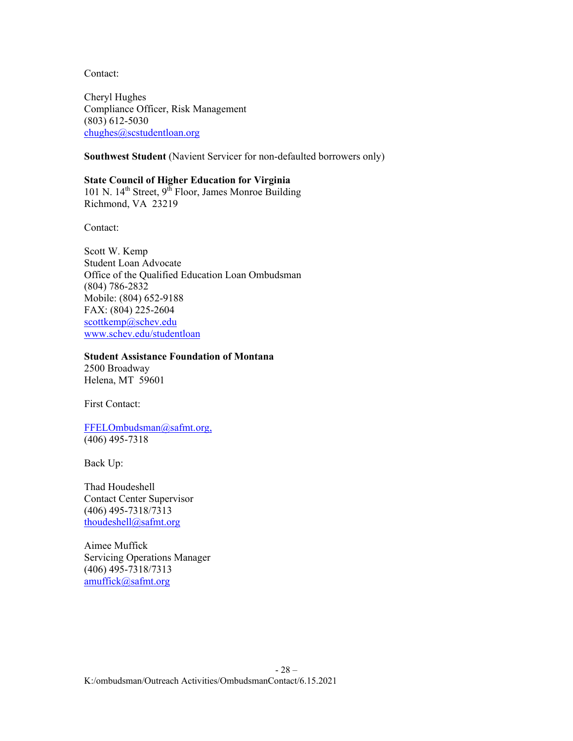Contact:

Cheryl Hughes Compliance Officer, Risk Management (803) 612-5030 [chughes@scstudentloan.org](mailto:chughes@scstudentloan.org)

**Southwest Student** (Navient Servicer for non-defaulted borrowers only)

**State Council of Higher Education for Virginia** 101 N.  $14<sup>th</sup>$  Street,  $9<sup>th</sup>$  Floor, James Monroe Building Richmond, VA 23219

Contact:

Scott W. Kemp Student Loan Advocate Office of the Qualified Education Loan Ombudsman (804) 786-2832 Mobile: (804) 652-9188 FAX: (804) 225-2604 [scottkemp@schev.edu](mailto:scottkemp@schev.edu) [www.schev.edu/studentloan](http://www.schev.edu/studentloan)

#### **Student Assistance Foundation of Montana**

2500 Broadway Helena, MT 59601

First Contact:

[FFELOmbudsman@safmt.org,](mailto:FFELOmbudsman@safmt.org) (406) 495-7318

Back Up:

Thad Houdeshell Contact Center Supervisor (406) 495-7318/7313 [thoudeshell@safmt.org](mailto:thoudeshell@safmt.org)

Aimee Muffick Servicing Operations Manager (406) 495-7318/7313 [amuffick@safmt.org](mailto:amuffick@safmt.org)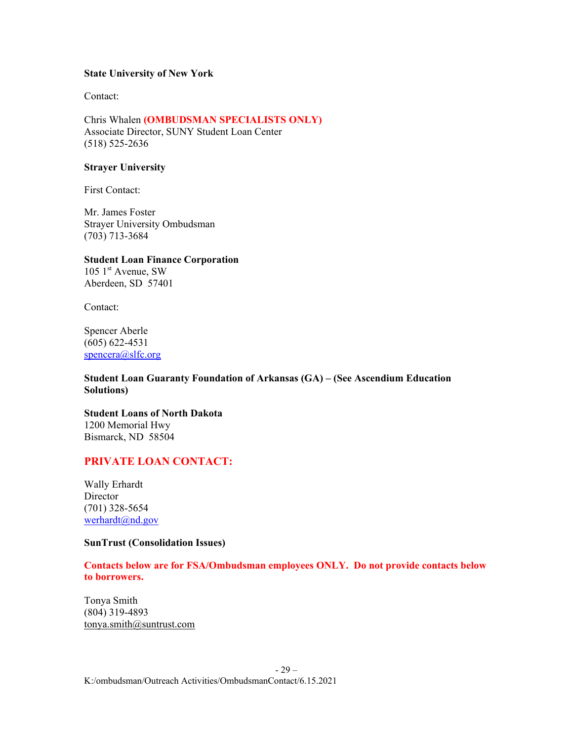#### **State University of New York**

Contact:

Chris Whalen **(OMBUDSMAN SPECIALISTS ONLY)** Associate Director, SUNY Student Loan Center (518) 525-2636

#### **Strayer University**

First Contact:

Mr. James Foster Strayer University Ombudsman (703) 713-3684

## **Student Loan Finance Corporation**

 $105$  1<sup>st</sup> Avenue, SW Aberdeen, SD 57401

Contact:

Spencer Aberle (605) 622-4531 [spencera@slfc.org](mailto:spencera@slfc.org)

**Student Loan Guaranty Foundation of Arkansas (GA) – (See Ascendium Education Solutions)**

**Student Loans of North Dakota**  1200 Memorial Hwy Bismarck, ND 58504

# **PRIVATE LOAN CONTACT:**

Wally Erhardt **Director** (701) 328-5654 werhardt@nd.gov

#### **SunTrust (Consolidation Issues)**

**Contacts below are for FSA/Ombudsman employees ONLY. Do not provide contacts below to borrowers.** 

Tonya Smith (804) 319-4893 [tonya.smith@suntrust.com](mailto:tonya.smith@suntrust.com)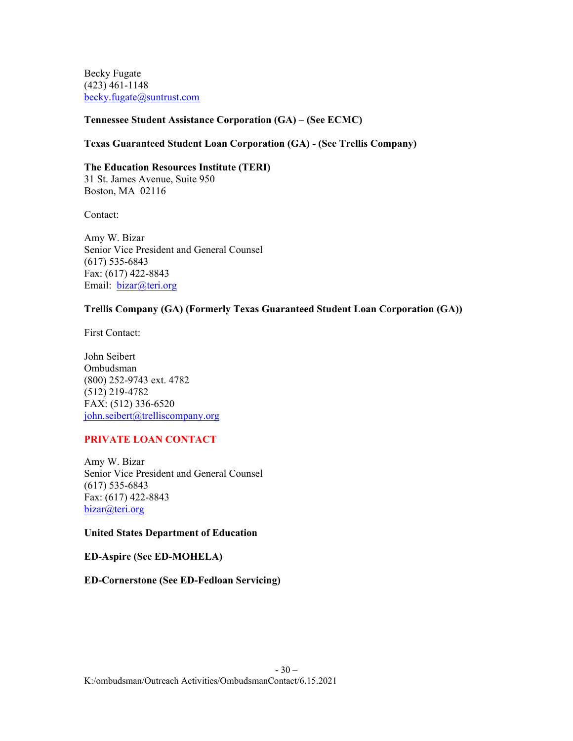Becky Fugate (423) 461-1148 [becky.fugate@suntrust.com](mailto:becky.fugate@suntrust.com)

# **Tennessee Student Assistance Corporation (GA) – (See ECMC)**

# **Texas Guaranteed Student Loan Corporation (GA) - (See Trellis Company)**

**The Education Resources Institute (TERI)** 31 St. James Avenue, Suite 950 Boston, MA 02116

Contact:

Amy W. Bizar Senior Vice President and General Counsel (617) 535-6843 Fax: (617) 422-8843 Email: *[bizar@teri.org](mailto:bizar@teri.org)* 

# **Trellis Company (GA) (Formerly Texas Guaranteed Student Loan Corporation (GA))**

First Contact:

John Seibert Ombudsman (800) 252-9743 ext. 4782 (512) 219-4782 FAX: (512) 336-6520 [john.seibert@trelliscompany.org](mailto:john.seibert@trelliscompany.org)

# **PRIVATE LOAN CONTACT**

Amy W. Bizar Senior Vice President and General Counsel (617) 535-6843 Fax: (617) 422-8843 [bizar@teri.org](mailto:bizar@teri.org)

# **United States Department of Education**

**ED-Aspire (See ED-MOHELA)**

# **ED-Cornerstone (See ED-Fedloan Servicing)**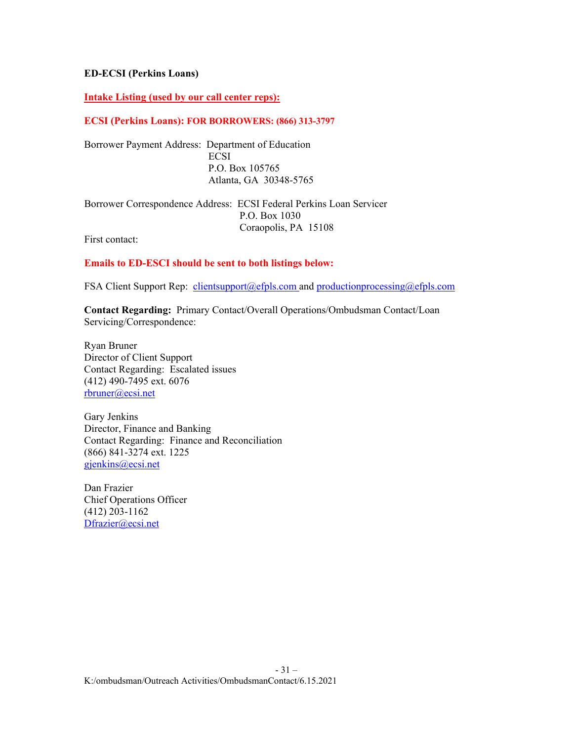## **ED-ECSI (Perkins Loans)**

## **Intake Listing (used by our call center reps):**

#### **ECSI (Perkins Loans): FOR BORROWERS: (866) 313-3797**

Borrower Payment Address: Department of Education **ECSI**  P.O. Box 105765 Atlanta, GA 30348-5765

Borrower Correspondence Address: ECSI Federal Perkins Loan Servicer P.O. Box 1030 Coraopolis, PA 15108

First contact:

#### **Emails to ED-ESCI should be sent to both listings below:**

FSA Client Support Rep: [clientsupport@efpls.com](mailto:clientsupport@efpls.com) and [productionprocessing@efpls.com](mailto:productionprocessing@efpls.com)

**Contact Regarding:** Primary Contact/Overall Operations/Ombudsman Contact/Loan Servicing/Correspondence:

Ryan Bruner Director of Client Support Contact Regarding: Escalated issues (412) 490-7495 ext. 6076 [rbruner@ecsi.net](mailto:rbruner@ecsi.net)

Gary Jenkins Director, Finance and Banking Contact Regarding: Finance and Reconciliation (866) 841-3274 ext. 1225 [gjenkins@ecsi.net](mailto:gjenkins@ecsi.net)

Dan Frazier Chief Operations Officer (412) 203-1162 [Dfrazier@ecsi.net](mailto:Dfrazier@ecsi.net)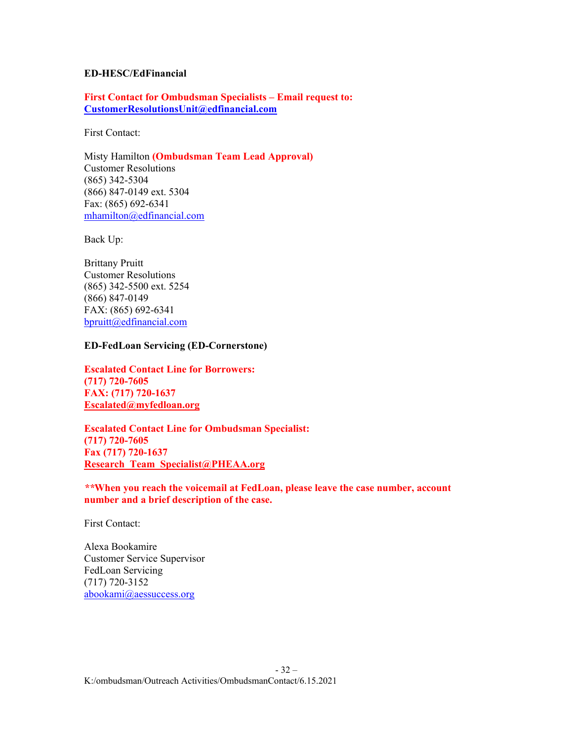#### **ED-HESC/EdFinancial**

**First Contact for Ombudsman Specialists – Email request to: [CustomerResolutionsUnit@edfinancial.com](mailto:CustomerResolutionsUnit@edfinancial.com)**

First Contact:

Misty Hamilton **(Ombudsman Team Lead Approval)** Customer Resolutions (865) 342-5304 (866) 847-0149 ext. 5304 Fax: (865) 692-6341 [mhamilton@edfinancial.com](mailto:mhamilton@edfinancial.com)

Back Up:

Brittany Pruitt Customer Resolutions (865) 342-5500 ext. 5254 (866) 847-0149 FAX: (865) 692-6341 [bpruitt@edfinancial.com](mailto:bpruitt@edfinancial.com)

#### **ED-FedLoan Servicing (ED-Cornerstone)**

**Escalated Contact Line for Borrowers: (717) 720-7605 FAX: (717) 720-1637 [Escalated@myfedloan.org](mailto:Escalated@myfedloan.org)**

**Escalated Contact Line for Ombudsman Specialist: (717) 720-7605 Fax (717) 720-1637 [Research\\_Team\\_Specialist@PHEAA.org](mailto:Research_Team_Specialist@PHEAA.org)**

*\*\****When you reach the voicemail at FedLoan, please leave the case number, account number and a brief description of the case.**

First Contact:

Alexa Bookamire Customer Service Supervisor FedLoan Servicing (717) 720-3152 [abookami@aessuccess.org](mailto:abookami@aessuccess.org)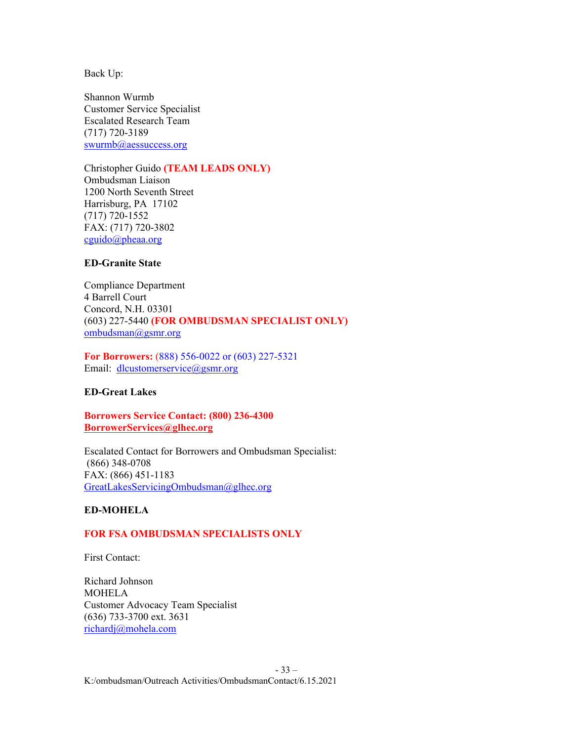Shannon Wurmb Customer Service Specialist Escalated Research Team (717) 720-3189 [swurmb@aessuccess.org](mailto:swurmb@aessuccess.org)

Christopher Guido **(TEAM LEADS ONLY)** Ombudsman Liaison 1200 North Seventh Street Harrisburg, PA 17102 (717) 720-1552 FAX: (717) 720-3802 [cguido@pheaa.org](mailto:cguido@pheaa.org)

# **ED-Granite State**

Compliance Department 4 Barrell Court Concord, N.H. 03301 (603) 227-5440 **(FOR OMBUDSMAN SPECIALIST ONLY)** [ombudsman@gsmr.org](mailto:ombudsman@gsmr.org)

**For Borrowers:** (888) 556-0022 or (603) 227-5321 Email: [dlcustomerservice@gsmr.org](mailto:dlcustomerservice@gsmr.org)

#### **ED-Great Lakes**

**Borrowers Service Contact: (800) 236-4300 [BorrowerServices@glhec.org](mailto:BorrowerServices@glhec.org)**

Escalated Contact for Borrowers and Ombudsman Specialist: (866) 348-0708 FAX: (866) 451-1183 [GreatLakesServicingOmbudsman@glhec.org](mailto:GreatLakesServicingOmbudsman@glhec.org) 

# **ED-MOHELA**

#### **FOR FSA OMBUDSMAN SPECIALISTS ONLY**

First Contact:

Richard Johnson MOHELA Customer Advocacy Team Specialist (636) 733-3700 ext. 3631 [richardj@mohela.com](mailto:richardj@mohela.com)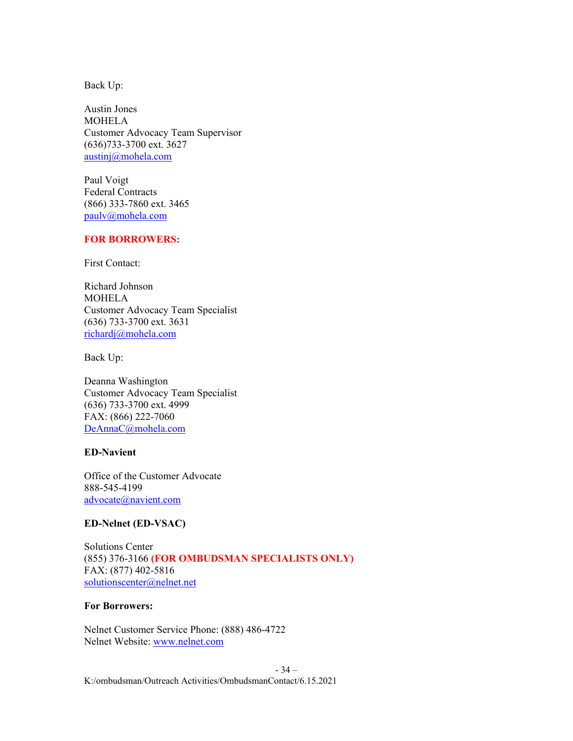Austin Jones MOHELA Customer Advocacy Team Supervisor (636)733-3700 ext. 3627 austinj@mohela.com

Paul Voigt Federal Contracts (866) 333-7860 ext. 3465 [paulv@mohela.com](mailto:paulv@mohela.com)

#### **FOR BORROWERS:**

First Contact:

Richard Johnson MOHELA Customer Advocacy Team Specialist (636) 733-3700 ext. 3631 [richardj@mohela.com](mailto:richardj@mohela.com)

Back Up:

Deanna Washington Customer Advocacy Team Specialist (636) 733-3700 ext. 4999 FAX: (866) 222-7060 [DeAnnaC@mohela.com](mailto:DeAnnaC@mohela.com)

#### **ED-Navient**

Office of the Customer Advocate 888-545-4199 [advocate@navient.com](mailto:advocate@navient.com)

#### **ED-Nelnet (ED-VSAC)**

Solutions Center (855) 376-3166 **(FOR OMBUDSMAN SPECIALISTS ONLY)** FAX: (877) 402-5816 [solutionscenter@nelnet.net](mailto:solutionscenter@nelnet.net) 

#### **For Borrowers:**

Nelnet Customer Service Phone: (888) 486-4722 Nelnet Website: [www.nelnet.com](http://www.nelnet.com/)

- 34 – K:/ombudsman/Outreach Activities/OmbudsmanContact/6.15.2021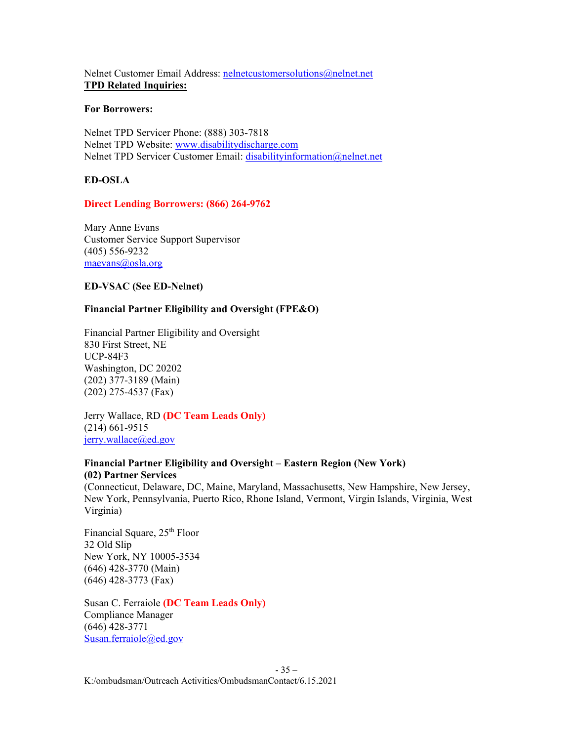Nelnet Customer Email Address: [nelnetcustomersolutions@nelnet.net](mailto:nelnetcustomersolutions@nelnet.net) **TPD Related Inquiries:** 

#### **For Borrowers:**

Nelnet TPD Servicer Phone: (888) 303-7818 Nelnet TPD Website: [www.disabilitydischarge.com](http://www.disabilitydischarge.com/) Nelnet TPD Servicer Customer Email: [disabilityinformation@nelnet.net](mailto:disabilityinformation@nelnet.net)

# **ED-OSLA**

# **Direct Lending Borrowers: (866) 264-9762**

Mary Anne Evans Customer Service Support Supervisor (405) 556-9232 [maevans@osla.org](mailto:maevans@osla.org)

# **ED-VSAC (See ED-Nelnet)**

# **Financial Partner Eligibility and Oversight (FPE&O)**

Financial Partner Eligibility and Oversight 830 First Street, NE UCP-84F3 Washington, DC 20202 (202) 377-3189 (Main) (202) 275-4537 (Fax)

Jerry Wallace, RD **(DC Team Leads Only)** (214) 661-9515 [jerry.wallace@ed.gov](mailto:jerry.wallace@ed.gov)

# **Financial Partner Eligibility and Oversight – Eastern Region (New York) (02) Partner Services**

(Connecticut, Delaware, DC, Maine, Maryland, Massachusetts, New Hampshire, New Jersey, New York, Pennsylvania, Puerto Rico, Rhone Island, Vermont, Virgin Islands, Virginia, West Virginia)

Financial Square, 25<sup>th</sup> Floor 32 Old Slip New York, NY 10005-3534 (646) 428-3770 (Main) (646) 428-3773 (Fax)

Susan C. Ferraiole **(DC Team Leads Only)** Compliance Manager (646) 428-3771 [Susan.ferraiole@ed.gov](mailto:Susan.ferraiole@ed.gov)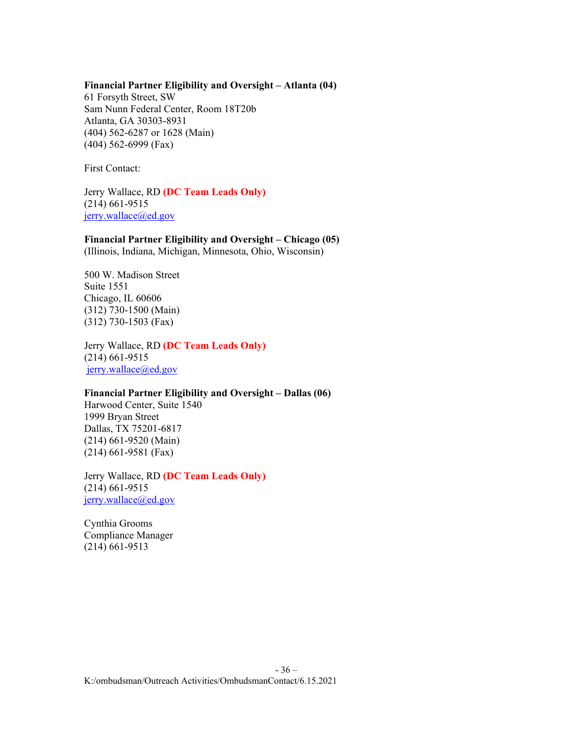#### **Financial Partner Eligibility and Oversight – Atlanta (04)**

61 Forsyth Street, SW Sam Nunn Federal Center, Room 18T20b Atlanta, GA 30303-8931 (404) 562-6287 or 1628 (Main) (404) 562-6999 (Fax)

First Contact:

Jerry Wallace, RD **(DC Team Leads Only)** (214) 661-9515 [jerry.wallace@ed.gov](mailto:jerry.wallace@ed.gov)

**Financial Partner Eligibility and Oversight – Chicago (05)** (Illinois, Indiana, Michigan, Minnesota, Ohio, Wisconsin)

500 W. Madison Street Suite 1551 Chicago, IL 60606 (312) 730-1500 (Main) (312) 730-1503 (Fax)

Jerry Wallace, RD **(DC Team Leads Only)** (214) 661-9515 [jerry.wallace@ed.gov](mailto:jerry.wallace@ed.gov)

# **Financial Partner Eligibility and Oversight – Dallas (06)**

Harwood Center, Suite 1540 1999 Bryan Street Dallas, TX 75201-6817 (214) 661-9520 (Main) (214) 661-9581 (Fax)

Jerry Wallace, RD **(DC Team Leads Only)** (214) 661-9515 [jerry.wallace@ed.gov](mailto:jerry.wallace@ed.gov)

Cynthia Grooms Compliance Manager (214) 661-9513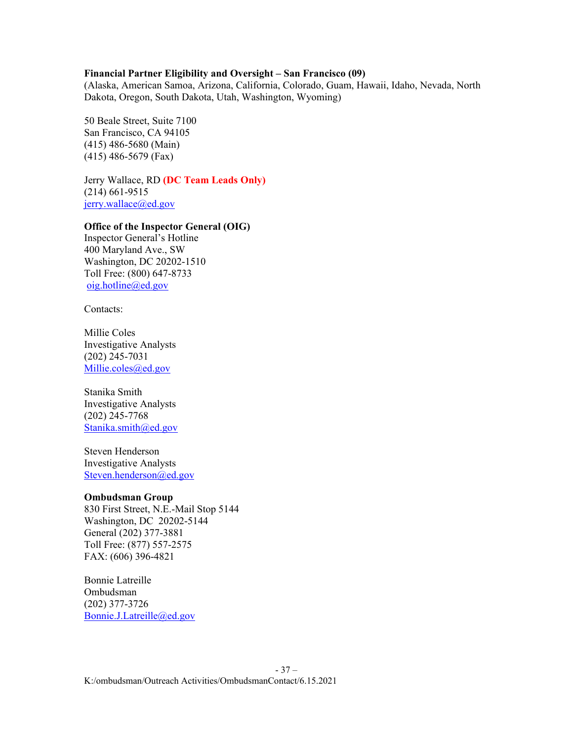#### **Financial Partner Eligibility and Oversight – San Francisco (09)**

(Alaska, American Samoa, Arizona, California, Colorado, Guam, Hawaii, Idaho, Nevada, North Dakota, Oregon, South Dakota, Utah, Washington, Wyoming)

50 Beale Street, Suite 7100 San Francisco, CA 94105 (415) 486-5680 (Main) (415) 486-5679 (Fax)

Jerry Wallace, RD **(DC Team Leads Only)** (214) 661-9515 [jerry.wallace@ed.gov](mailto:jerry.wallace@ed.gov)

# **Office of the Inspector General (OIG)**

Inspector General's Hotline 400 Maryland Ave., SW Washington, DC 20202-1510 Toll Free: (800) 647-8733 [oig.hotline@ed.gov](mailto:oig.hotline@ed.gov)

Contacts:

Millie Coles Investigative Analysts (202) 245-7031 [Millie.coles@ed.gov](mailto:Millie.coles@ed.gov)

Stanika Smith Investigative Analysts (202) 245-7768 [Stanika.smith@ed.gov](mailto:Stanika.smith@ed.gov)

Steven Henderson Investigative Analysts [Steven.henderson@ed.gov](mailto:Steven.henderson@ed.gov)

#### **Ombudsman Group**

830 First Street, N.E.-Mail Stop 5144 Washington, DC 20202-5144 General (202) 377-3881 Toll Free: (877) 557-2575 FAX: (606) 396-4821

Bonnie Latreille Ombudsman (202) 377-3726 [Bonnie.J.Latreille@ed.gov](mailto:Bonnie.J.Latreille@ed.gov)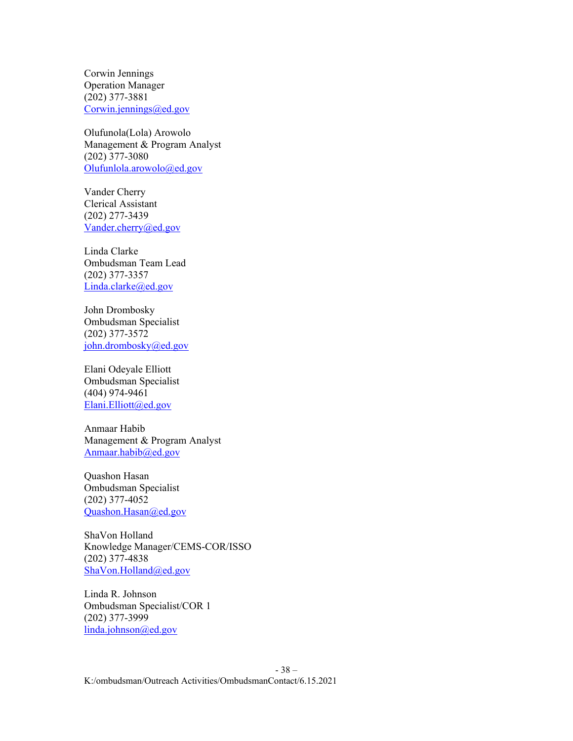Corwin Jennings Operation Manager (202) 377-3881 [Corwin.jennings@ed.gov](mailto:Corwin.jennings@ed.gov)

Olufunola(Lola) Arowolo Management & Program Analyst (202) 377-3080 [Olufunlola.arowolo@ed.gov](mailto:Olufunlola.arowolo@ed.gov)

Vander Cherry Clerical Assistant (202) 277-3439 [Vander.cherry@ed.gov](mailto:Vander.cherry@ed.gov)

Linda Clarke Ombudsman Team Lead (202) 377-3357 [Linda.clarke@ed.gov](mailto:Linda.clarke@ed.gov)

John Drombosky Ombudsman Specialist (202) 377-3572 [john.drombosky@ed.gov](mailto:john.drombosky@ed.gov)

Elani Odeyale Elliott Ombudsman Specialist (404) 974-9461 [Elani.Elliott@ed.gov](mailto:Elani.Elliott@ed.gov)

Anmaar Habib Management & Program Analyst [Anmaar.habib@ed.gov](mailto:Anmaar.habib@ed.gov)

Quashon Hasan Ombudsman Specialist (202) 377-4052 [Quashon.Hasan@ed.gov](mailto:Quashon.Hasan@ed.gov)

ShaVon Holland Knowledge Manager/CEMS-COR/ISSO (202) 377-4838 [ShaVon.Holland@ed.gov](mailto:ShaVon.Holland@ed.gov)

Linda R. Johnson Ombudsman Specialist/COR 1 (202) 377-3999 [linda.johnson@ed.gov](mailto:linda.johnson@ed.gov)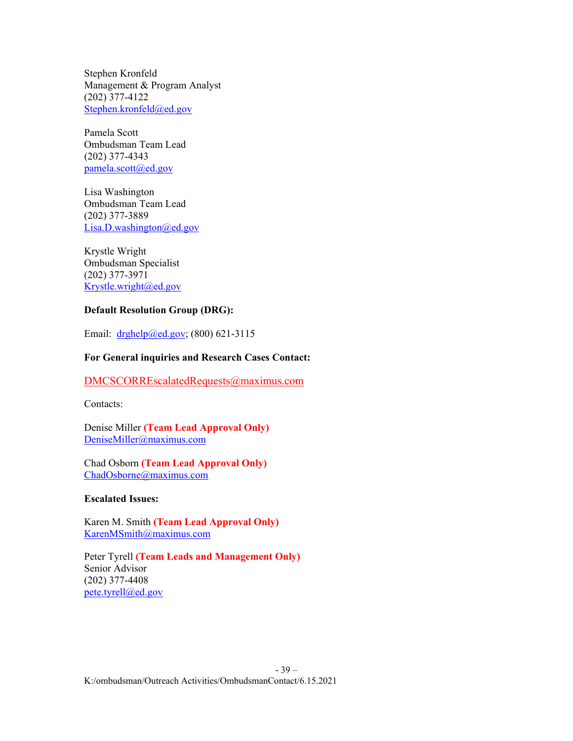Stephen Kronfeld Management & Program Analyst (202) 377-4122 [Stephen.kronfeld@ed.gov](mailto:Stephen.kronfeld@ed.gov)

Pamela Scott Ombudsman Team Lead (202) 377-4343 [pamela.scott@ed.gov](mailto:pamela.scott@ed.gov)

Lisa Washington Ombudsman Team Lead (202) 377-3889 [Lisa.D.washington@ed.gov](mailto:Lisa.D.washington@ed.gov)

Krystle Wright Ombudsman Specialist (202) 377-3971 [Krystle.wright@ed.gov](mailto:Krystle.wright@ed.gov)

# **Default Resolution Group (DRG):**

Email: [drghelp@ed.gov;](mailto:drghelp@ed.gov) (800) 621-3115

# **For General inquiries and Research Cases Contact:**

[DMCSCORREscalatedRequests@maximus.com](mailto:DMCSCORREscalatedRequests@maximus.com)

Contacts:

Denise Miller **(Team Lead Approval Only)** [DeniseMiller@maximus.com](mailto:DeniseMiller@maximus.com)

Chad Osborn **(Team Lead Approval Only)** [ChadOsborne@maximus.com](mailto:ChadOsborne@maximus.com)

#### **Escalated Issues:**

Karen M. Smith **(Team Lead Approval Only)** [KarenMSmith@maximus.com](mailto:KarenMSmith@maximus.com)

Peter Tyrell **(Team Leads and Management Only)** Senior Advisor (202) 377-4408 [pete.tyrell@ed.gov](mailto:pete.tyrell@ed.gov)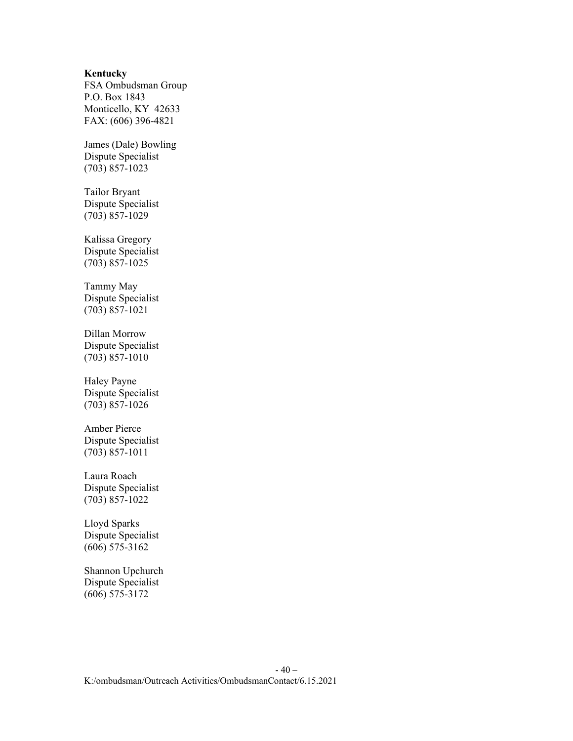#### **Kentucky**

FSA Ombudsman Group P.O. Box 1843 Monticello, KY 42633 FAX: (606) 396-4821

James (Dale) Bowling Dispute Specialist (703) 857-1023

Tailor Bryant Dispute Specialist (703) 857-1029

Kalissa Gregory Dispute Specialist (703) 857-1025

Tammy May Dispute Specialist (703) 857-1021

Dillan Morrow Dispute Specialist (703) 857-1010

Haley Payne Dispute Specialist (703) 857-1026

Amber Pierce Dispute Specialist (703) 857-1011

Laura Roach Dispute Specialist (703) 857-1022

Lloyd Sparks Dispute Specialist (606) 575-3162

Shannon Upchurch Dispute Specialist (606) 575-3172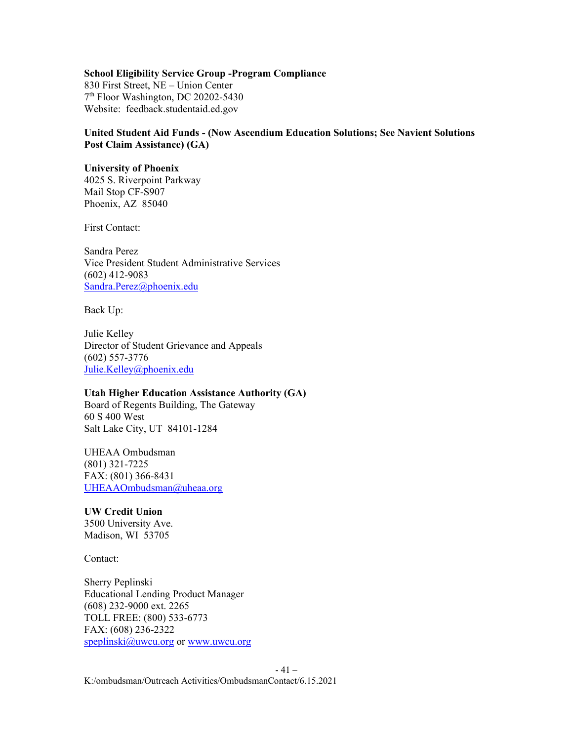# **School Eligibility Service Group -Program Compliance**

830 First Street, NE – Union Center 7th Floor Washington, DC 20202-5430 Website: feedback.studentaid.ed.gov

# **United Student Aid Funds - (Now Ascendium Education Solutions; See Navient Solutions Post Claim Assistance) (GA)**

#### **University of Phoenix**

4025 S. Riverpoint Parkway Mail Stop CF-S907 Phoenix, AZ 85040

First Contact:

Sandra Perez Vice President Student Administrative Services (602) 412-9083 [Sandra.Perez@phoenix.edu](mailto:Sandra.Perez@phoenix.edu)

Back Up:

Julie Kelley Director of Student Grievance and Appeals (602) 557-3776 [Julie.Kelley@phoenix.edu](mailto:Julie.Kelley@phoenix.edu)

# **Utah Higher Education Assistance Authority (GA)**

Board of Regents Building, The Gateway 60 S 400 West Salt Lake City, UT 84101-1284

# UHEAA Ombudsman (801) 321-7225 FAX: (801) 366-8431 [UHEAAOmbudsman@uheaa.org](mailto:UHEAAOmbudsman@uheaa.org)

**UW Credit Union** 3500 University Ave. Madison, WI 53705

Contact:

Sherry Peplinski Educational Lending Product Manager (608) 232-9000 ext. 2265 TOLL FREE: (800) 533-6773 FAX: (608) 236-2322 [speplinski@uwcu.org](mailto:speplinski@uwcu.org) or [www.uwcu.org](http://www.uwcu.org/)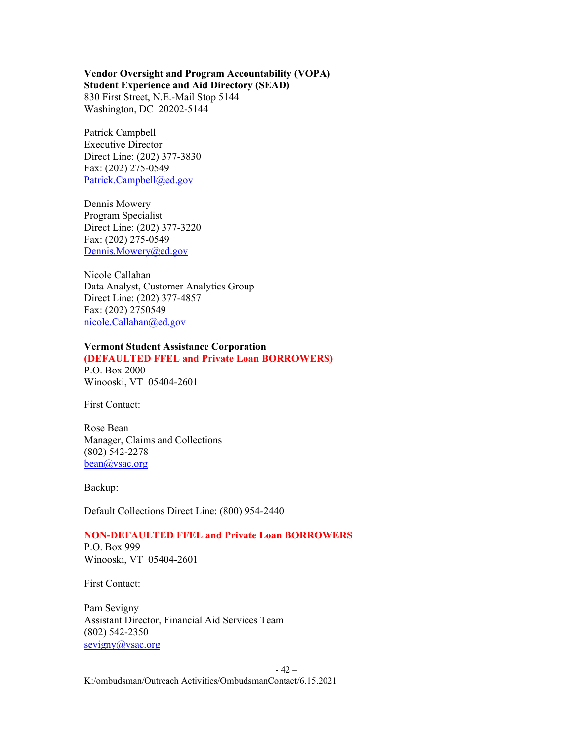#### **Vendor Oversight and Program Accountability (VOPA) Student Experience and Aid Directory (SEAD)** 830 First Street, N.E.-Mail Stop 5144

Washington, DC 20202-5144

Patrick Campbell Executive Director Direct Line: (202) 377-3830 Fax: (202) 275-0549 [Patrick.Campbell@ed.gov](mailto:Patrick.Campbell@ed.gov)

Dennis Mowery Program Specialist Direct Line: (202) 377-3220 Fax: (202) 275-0549 [Dennis.Mowery@ed.gov](mailto:Dennis.Mowery@ed.gov)

Nicole Callahan Data Analyst, Customer Analytics Group Direct Line: (202) 377-4857 Fax: (202) 2750549 [nicole.Callahan@ed.gov](mailto:nicole.Callahan@ed.gov)

# **Vermont Student Assistance Corporation**

**(DEFAULTED FFEL and Private Loan BORROWERS)**

P.O. Box 2000 Winooski, VT 05404-2601

First Contact:

Rose Bean Manager, Claims and Collections (802) 542-2278 [bean@vsac.org](mailto:bean@vsac.org)

Backup:

Default Collections Direct Line: (800) 954-2440

# **NON-DEFAULTED FFEL and Private Loan BORROWERS**

P.O. Box 999 Winooski, VT 05404-2601

First Contact:

Pam Sevigny Assistant Director, Financial Aid Services Team (802) 542-2350 [sevigny@vsac.org](mailto:sevigny@vsac.org)

- 42 –

K:/ombudsman/Outreach Activities/OmbudsmanContact/6.15.2021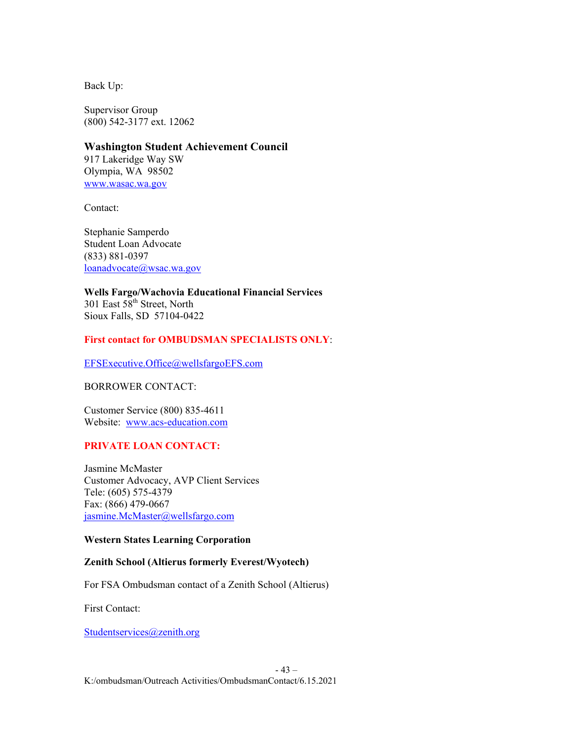Supervisor Group (800) 542-3177 ext. 12062

**Washington Student Achievement Council** 917 Lakeridge Way SW Olympia, WA 98502 [www.wasac.wa.gov](http://www.wasac.wa.gov/)

Contact:

Stephanie Samperdo Student Loan Advocate (833) 881-0397 [loanadvocate@wsac.wa.gov](mailto:loanadvocate@wsac.wa.gov)

**Wells Fargo/Wachovia Educational Financial Services** 301 East 58<sup>th</sup> Street, North Sioux Falls, SD 57104-0422

# **First contact for OMBUDSMAN SPECIALISTS ONLY**:

[EFSExecutive.Office@wellsfargoEFS.com](mailto:EFSExecutive.Office@wellsfargoEFS.com)

### BORROWER CONTACT:

Customer Service (800) 835-4611 Website: [www.acs-education.com](http://www.acs-education.com/)

# **PRIVATE LOAN CONTACT:**

Jasmine McMaster Customer Advocacy, AVP Client Services Tele: (605) 575-4379 Fax: (866) 479-0667 [jasmine.McMaster@wellsfargo.com](mailto:jasmine.McMaster@wellsfargo.com)

# **Western States Learning Corporation**

# **Zenith School (Altierus formerly Everest/Wyotech)**

For FSA Ombudsman contact of a Zenith School (Altierus)

First Contact:

[Studentservices@zenith.org](mailto:Studentservices@zenith.org)

# - 43 –

K:/ombudsman/Outreach Activities/OmbudsmanContact/6.15.2021